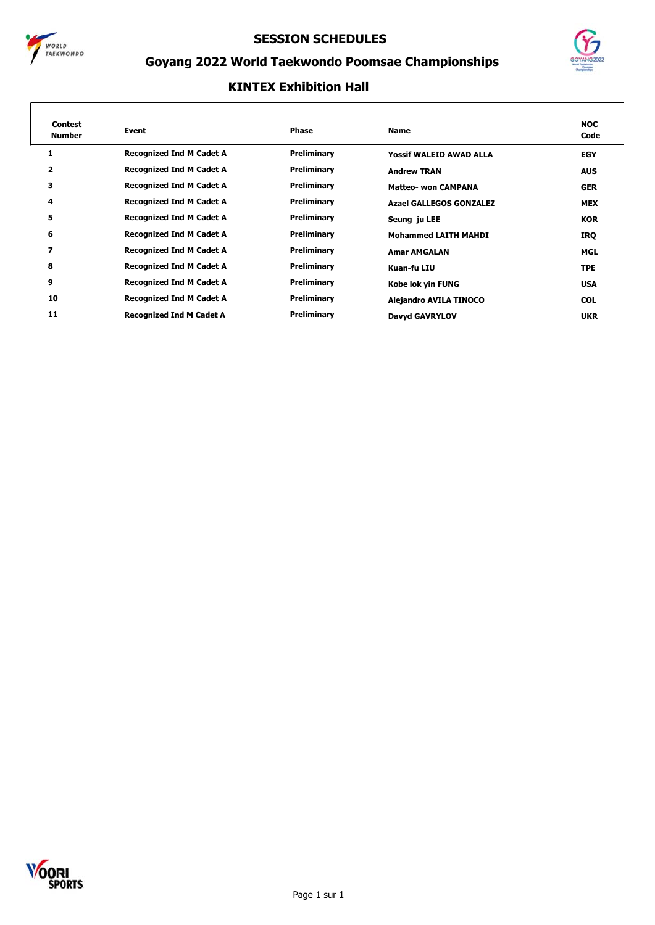



## **Goyang 2022 World Taekwondo Poomsae Championships**

| <b>Contest</b><br><b>Number</b> | Event                           | Phase       | <b>Name</b>                    | <b>NOC</b><br>Code |
|---------------------------------|---------------------------------|-------------|--------------------------------|--------------------|
|                                 | <b>Recognized Ind M Cadet A</b> | Preliminary | <b>Yossif WALEID AWAD ALLA</b> | <b>EGY</b>         |
| 2                               | <b>Recognized Ind M Cadet A</b> | Preliminary | <b>Andrew TRAN</b>             | <b>AUS</b>         |
| 3                               | <b>Recognized Ind M Cadet A</b> | Preliminary | <b>Matteo- won CAMPANA</b>     | <b>GER</b>         |
| 4                               | <b>Recognized Ind M Cadet A</b> | Preliminary | <b>Azael GALLEGOS GONZALEZ</b> | <b>MEX</b>         |
| 5                               | <b>Recognized Ind M Cadet A</b> | Preliminary | Seung ju LEE                   | <b>KOR</b>         |
| 6                               | <b>Recognized Ind M Cadet A</b> | Preliminary | <b>Mohammed LAITH MAHDI</b>    | IRQ                |
| 7                               | <b>Recognized Ind M Cadet A</b> | Preliminary | <b>Amar AMGALAN</b>            | <b>MGL</b>         |
| 8                               | <b>Recognized Ind M Cadet A</b> | Preliminary | Kuan-fu LIU                    | <b>TPE</b>         |
| 9                               | <b>Recognized Ind M Cadet A</b> | Preliminary | Kobe lok yin FUNG              | <b>USA</b>         |
| 10                              | <b>Recognized Ind M Cadet A</b> | Preliminary | <b>Alejandro AVILA TINOCO</b>  | <b>COL</b>         |
| 11                              | <b>Recognized Ind M Cadet A</b> | Preliminary | Davyd GAVRYLOV                 | <b>UKR</b>         |

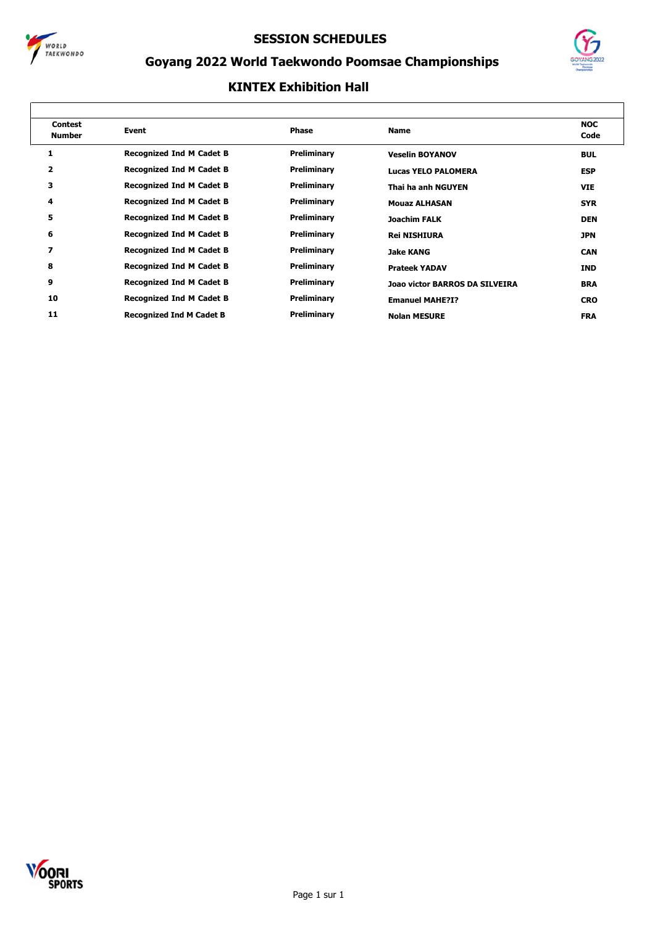



## **Goyang 2022 World Taekwondo Poomsae Championships**

| <b>Contest</b><br><b>Number</b> | Event                           | Phase       | <b>Name</b>                    | <b>NOC</b><br>Code |
|---------------------------------|---------------------------------|-------------|--------------------------------|--------------------|
| 1                               | <b>Recognized Ind M Cadet B</b> | Preliminary | <b>Veselin BOYANOV</b>         | <b>BUL</b>         |
| 2                               | <b>Recognized Ind M Cadet B</b> | Preliminary | Lucas YELO PALOMERA            | <b>ESP</b>         |
| 3                               | <b>Recognized Ind M Cadet B</b> | Preliminary | Thai ha anh NGUYEN             | <b>VIE</b>         |
| 4                               | <b>Recognized Ind M Cadet B</b> | Preliminary | <b>Mouaz ALHASAN</b>           | <b>SYR</b>         |
| 5                               | <b>Recognized Ind M Cadet B</b> | Preliminary | <b>Joachim FALK</b>            | <b>DEN</b>         |
| 6                               | <b>Recognized Ind M Cadet B</b> | Preliminary | <b>Rei NISHIURA</b>            | <b>JPN</b>         |
| 7                               | <b>Recognized Ind M Cadet B</b> | Preliminary | Jake KANG                      | <b>CAN</b>         |
| 8                               | <b>Recognized Ind M Cadet B</b> | Preliminary | <b>Prateek YADAV</b>           | <b>IND</b>         |
| 9                               | <b>Recognized Ind M Cadet B</b> | Preliminary | Joao victor BARROS DA SILVEIRA | <b>BRA</b>         |
| 10                              | <b>Recognized Ind M Cadet B</b> | Preliminary | <b>Emanuel MAHE?I?</b>         | <b>CRO</b>         |
| 11                              | <b>Recognized Ind M Cadet B</b> | Preliminary | <b>Nolan MESURE</b>            | <b>FRA</b>         |

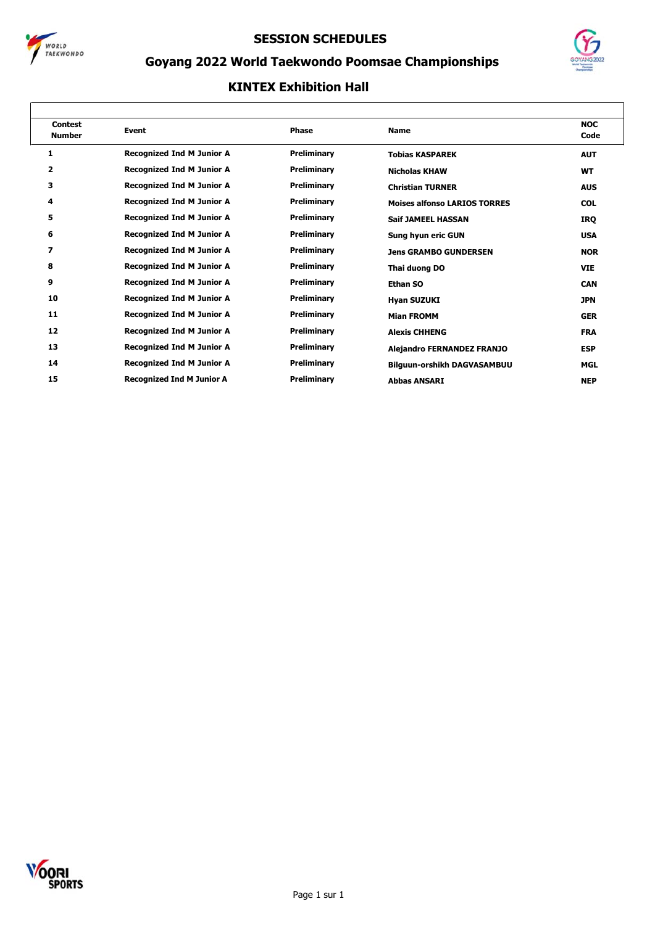



## **Goyang 2022 World Taekwondo Poomsae Championships**

| <b>Contest</b><br><b>Number</b> | <b>Event</b>                     | <b>Phase</b>       | <b>Name</b>                         | <b>NOC</b><br>Code |
|---------------------------------|----------------------------------|--------------------|-------------------------------------|--------------------|
| 1                               | <b>Recognized Ind M Junior A</b> | Preliminary        | <b>Tobias KASPAREK</b>              | <b>AUT</b>         |
| 2                               | <b>Recognized Ind M Junior A</b> | <b>Preliminary</b> | <b>Nicholas KHAW</b>                | <b>WT</b>          |
| 3                               | <b>Recognized Ind M Junior A</b> | Preliminary        | <b>Christian TURNER</b>             | <b>AUS</b>         |
| 4                               | <b>Recognized Ind M Junior A</b> | Preliminary        | <b>Moises alfonso LARIOS TORRES</b> | <b>COL</b>         |
| 5                               | <b>Recognized Ind M Junior A</b> | Preliminary        | <b>Saif JAMEEL HASSAN</b>           | IRQ                |
| 6                               | <b>Recognized Ind M Junior A</b> | Preliminary        | Sung hyun eric GUN                  | <b>USA</b>         |
| 7                               | <b>Recognized Ind M Junior A</b> | Preliminary        | <b>Jens GRAMBO GUNDERSEN</b>        | <b>NOR</b>         |
| 8                               | <b>Recognized Ind M Junior A</b> | Preliminary        | Thai duong DO                       | <b>VIE</b>         |
| 9                               | <b>Recognized Ind M Junior A</b> | Preliminary        | Ethan SO                            | <b>CAN</b>         |
| 10                              | <b>Recognized Ind M Junior A</b> | Preliminary        | <b>Hyan SUZUKI</b>                  | <b>JPN</b>         |
| 11                              | <b>Recognized Ind M Junior A</b> | Preliminary        | <b>Mian FROMM</b>                   | <b>GER</b>         |
| 12                              | <b>Recognized Ind M Junior A</b> | Preliminary        | <b>Alexis CHHENG</b>                | <b>FRA</b>         |
| 13                              | <b>Recognized Ind M Junior A</b> | Preliminary        | <b>Alejandro FERNANDEZ FRANJO</b>   | <b>ESP</b>         |
| 14                              | <b>Recognized Ind M Junior A</b> | Preliminary        | <b>Bilguun-orshikh DAGVASAMBUU</b>  | <b>MGL</b>         |
| 15                              | <b>Recognized Ind M Junior A</b> | <b>Preliminary</b> | <b>Abbas ANSARI</b>                 | <b>NEP</b>         |

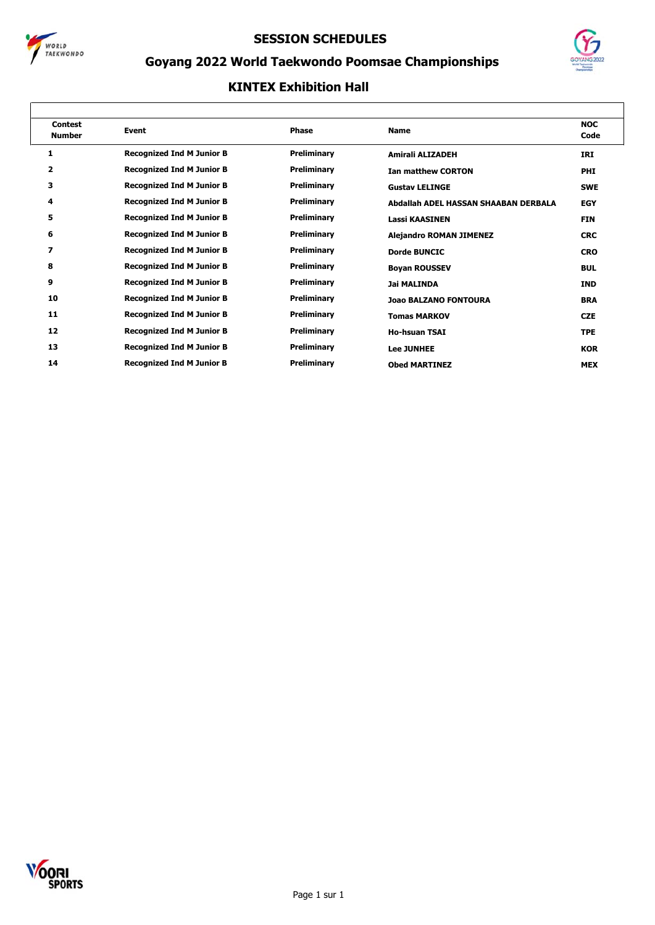



## **Goyang 2022 World Taekwondo Poomsae Championships**

| <b>Contest</b><br><b>Number</b> | Event                            | <b>Phase</b> | <b>Name</b>                          | <b>NOC</b><br>Code |
|---------------------------------|----------------------------------|--------------|--------------------------------------|--------------------|
| 1                               | <b>Recognized Ind M Junior B</b> | Preliminary  | Amirali ALIZADEH                     | IRI                |
| $\overline{\mathbf{2}}$         | <b>Recognized Ind M Junior B</b> | Preliminary  | <b>Ian matthew CORTON</b>            | <b>PHI</b>         |
| 3                               | <b>Recognized Ind M Junior B</b> | Preliminary  | <b>Gustav LELINGE</b>                | <b>SWE</b>         |
| 4                               | <b>Recognized Ind M Junior B</b> | Preliminary  | Abdallah ADEL HASSAN SHAABAN DERBALA | <b>EGY</b>         |
| 5                               | <b>Recognized Ind M Junior B</b> | Preliminary  | <b>Lassi KAASINEN</b>                | <b>FIN</b>         |
| 6                               | <b>Recognized Ind M Junior B</b> | Preliminary  | <b>Alejandro ROMAN JIMENEZ</b>       | <b>CRC</b>         |
| 7                               | <b>Recognized Ind M Junior B</b> | Preliminary  | <b>Dorde BUNCIC</b>                  | <b>CRO</b>         |
| 8                               | <b>Recognized Ind M Junior B</b> | Preliminary  | <b>Boyan ROUSSEV</b>                 | <b>BUL</b>         |
| 9                               | <b>Recognized Ind M Junior B</b> | Preliminary  | <b>Jai MALINDA</b>                   | <b>IND</b>         |
| 10                              | <b>Recognized Ind M Junior B</b> | Preliminary  | <b>Joao BALZANO FONTOURA</b>         | <b>BRA</b>         |
| 11                              | <b>Recognized Ind M Junior B</b> | Preliminary  | <b>Tomas MARKOV</b>                  | <b>CZE</b>         |
| 12                              | <b>Recognized Ind M Junior B</b> | Preliminary  | <b>Ho-hsuan TSAI</b>                 | <b>TPE</b>         |
| 13                              | <b>Recognized Ind M Junior B</b> | Preliminary  | <b>Lee JUNHEE</b>                    | <b>KOR</b>         |
| 14                              | <b>Recognized Ind M Junior B</b> | Preliminary  | <b>Obed MARTINEZ</b>                 | <b>MEX</b>         |

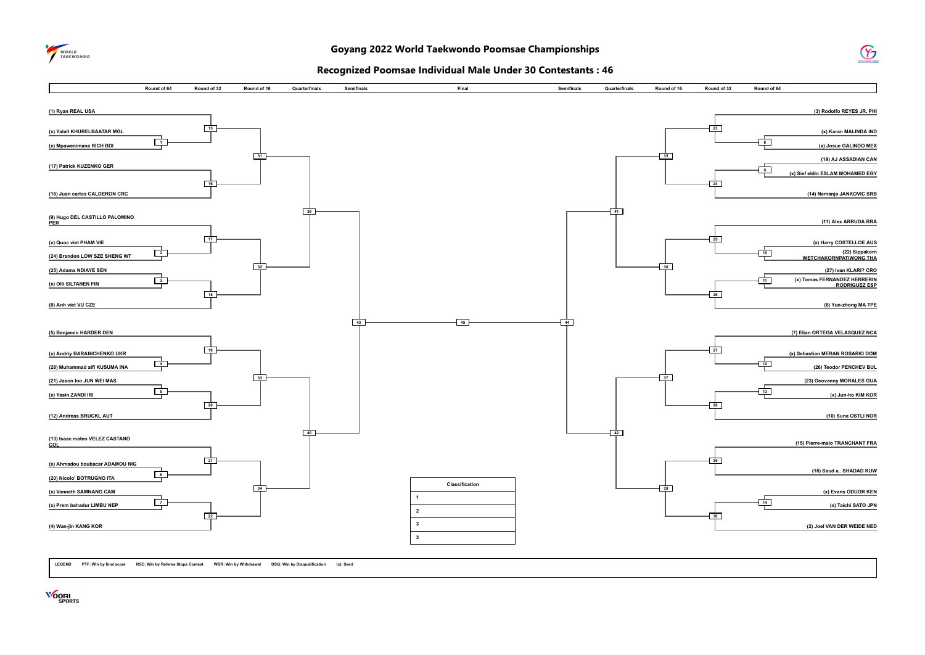

### $\mathcal G$

#### **Recognized Poomsae Individual Male Under 30 Contestants : 46**



**LEGEND PTF: Win by final score RSC: Win by Referee Stops Contest WDR: Win by Withdrawal DSQ: Win by Disqualification (x): Seed**

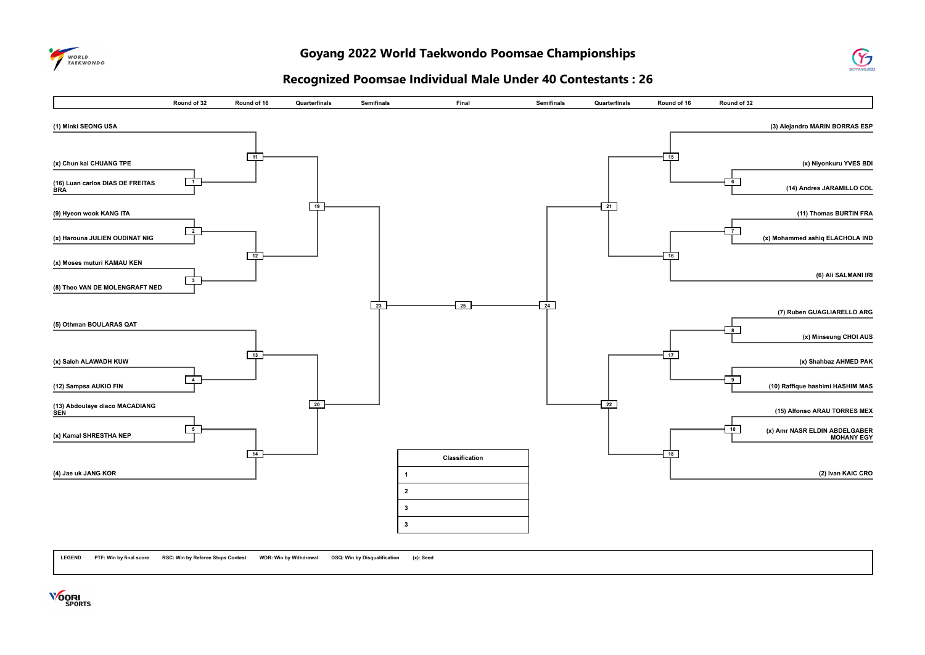

#### **Goyang 2022 World Taekwondo Poomsae Championships**



#### **Recognized Poomsae Individual Male Under 40 Contestants : 26**



**LEGEND PTF: Win by final score RSC: Win by Referee Stops Contest WDR: Win by Withdrawal DSQ: Win by Disqualification (x): Seed**

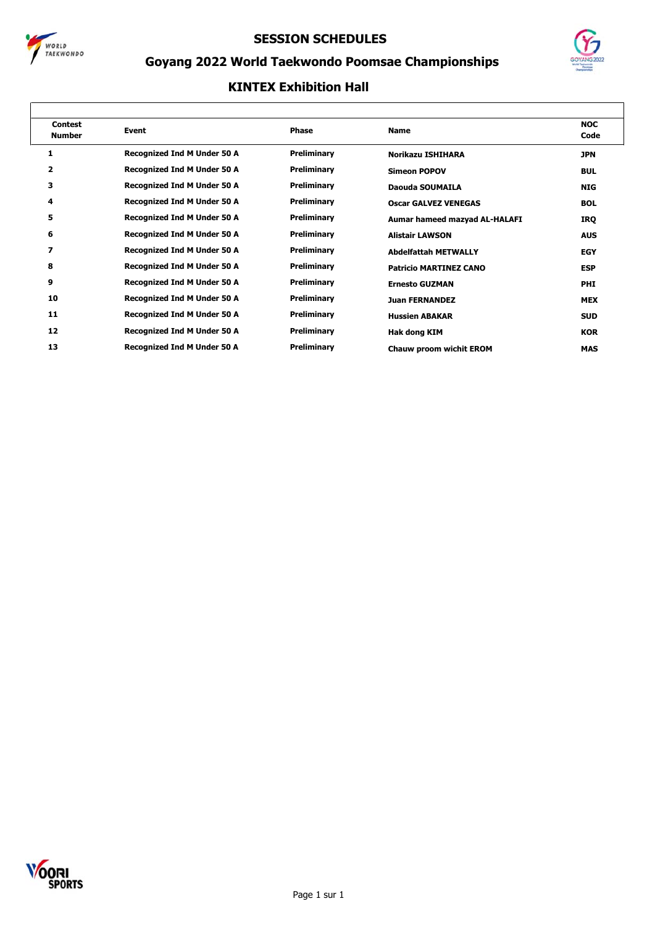



## **Goyang 2022 World Taekwondo Poomsae Championships**

| <b>Contest</b><br><b>Number</b> | Event                              | <b>Phase</b> | <b>Name</b>                   | <b>NOC</b><br>Code |
|---------------------------------|------------------------------------|--------------|-------------------------------|--------------------|
| 1                               | <b>Recognized Ind M Under 50 A</b> | Preliminary  | Norikazu ISHIHARA             | <b>JPN</b>         |
| 2                               | <b>Recognized Ind M Under 50 A</b> | Preliminary  | <b>Simeon POPOV</b>           | <b>BUL</b>         |
| з                               | <b>Recognized Ind M Under 50 A</b> | Preliminary  | Daouda SOUMAILA               | <b>NIG</b>         |
| 4                               | <b>Recognized Ind M Under 50 A</b> | Preliminary  | <b>Oscar GALVEZ VENEGAS</b>   | <b>BOL</b>         |
| 5                               | <b>Recognized Ind M Under 50 A</b> | Preliminary  | Aumar hameed mazyad AL-HALAFI | IRQ                |
| 6                               | <b>Recognized Ind M Under 50 A</b> | Preliminary  | <b>Alistair LAWSON</b>        | <b>AUS</b>         |
| 7                               | <b>Recognized Ind M Under 50 A</b> | Preliminary  | <b>Abdelfattah METWALLY</b>   | <b>EGY</b>         |
| 8                               | <b>Recognized Ind M Under 50 A</b> | Preliminary  | <b>Patricio MARTINEZ CANO</b> | <b>ESP</b>         |
| 9                               | <b>Recognized Ind M Under 50 A</b> | Preliminary  | <b>Ernesto GUZMAN</b>         | <b>PHI</b>         |
| 10                              | <b>Recognized Ind M Under 50 A</b> | Preliminary  | <b>Juan FERNANDEZ</b>         | <b>MEX</b>         |
| 11                              | <b>Recognized Ind M Under 50 A</b> | Preliminary  | <b>Hussien ABAKAR</b>         | <b>SUD</b>         |
| 12                              | <b>Recognized Ind M Under 50 A</b> | Preliminary  | Hak dong KIM                  | <b>KOR</b>         |
| 13                              | <b>Recognized Ind M Under 50 A</b> | Preliminary  | Chauw proom wichit EROM       | <b>MAS</b>         |

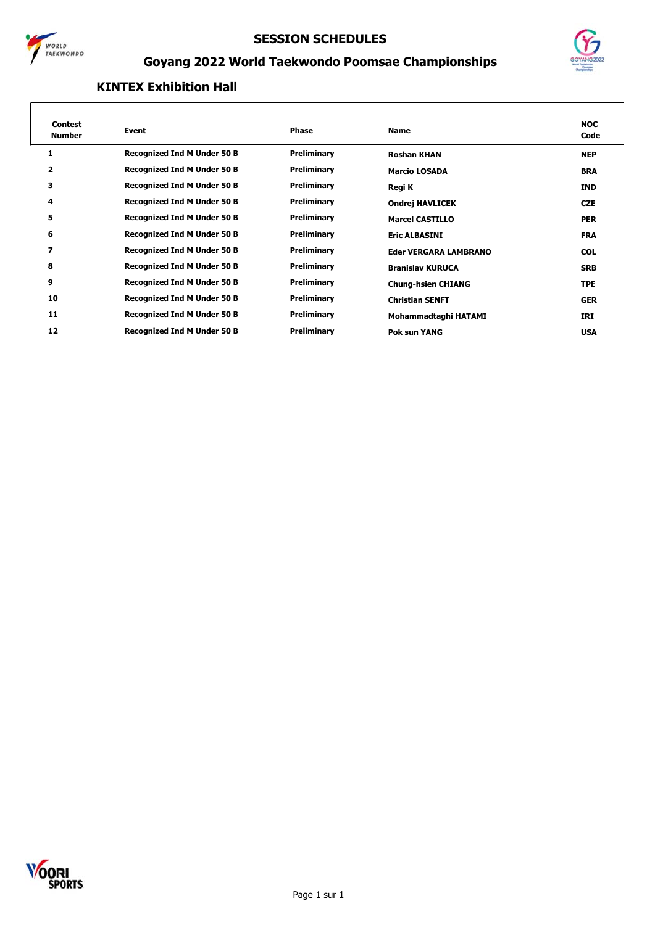



## **Goyang 2022 World Taekwondo Poomsae Championships**

| <b>Contest</b><br><b>Number</b> | Event                              | Phase       | <b>Name</b>                  | <b>NOC</b><br>Code |
|---------------------------------|------------------------------------|-------------|------------------------------|--------------------|
|                                 |                                    |             |                              |                    |
| 1                               | <b>Recognized Ind M Under 50 B</b> | Preliminary | <b>Roshan KHAN</b>           | <b>NEP</b>         |
| 2                               | <b>Recognized Ind M Under 50 B</b> | Preliminary | <b>Marcio LOSADA</b>         | <b>BRA</b>         |
| з                               | <b>Recognized Ind M Under 50 B</b> | Preliminary | Regi K                       | <b>IND</b>         |
| 4                               | <b>Recognized Ind M Under 50 B</b> | Preliminary | <b>Ondrej HAVLICEK</b>       | <b>CZE</b>         |
| 5                               | <b>Recognized Ind M Under 50 B</b> | Preliminary | <b>Marcel CASTILLO</b>       | <b>PER</b>         |
| 6                               | <b>Recognized Ind M Under 50 B</b> | Preliminary | <b>Eric ALBASINI</b>         | <b>FRA</b>         |
| $\overline{\phantom{a}}$        | <b>Recognized Ind M Under 50 B</b> | Preliminary | <b>Eder VERGARA LAMBRANO</b> | <b>COL</b>         |
| 8                               | <b>Recognized Ind M Under 50 B</b> | Preliminary | <b>Branislav KURUCA</b>      | <b>SRB</b>         |
| 9                               | <b>Recognized Ind M Under 50 B</b> | Preliminary | <b>Chung-hsien CHIANG</b>    | <b>TPE</b>         |
| 10                              | <b>Recognized Ind M Under 50 B</b> | Preliminary | <b>Christian SENFT</b>       | <b>GER</b>         |
| 11                              | <b>Recognized Ind M Under 50 B</b> | Preliminary | Mohammadtaghi HATAMI         | IRI                |
| 12                              | <b>Recognized Ind M Under 50 B</b> | Preliminary | <b>Pok sun YANG</b>          | <b>USA</b>         |
|                                 |                                    |             |                              |                    |

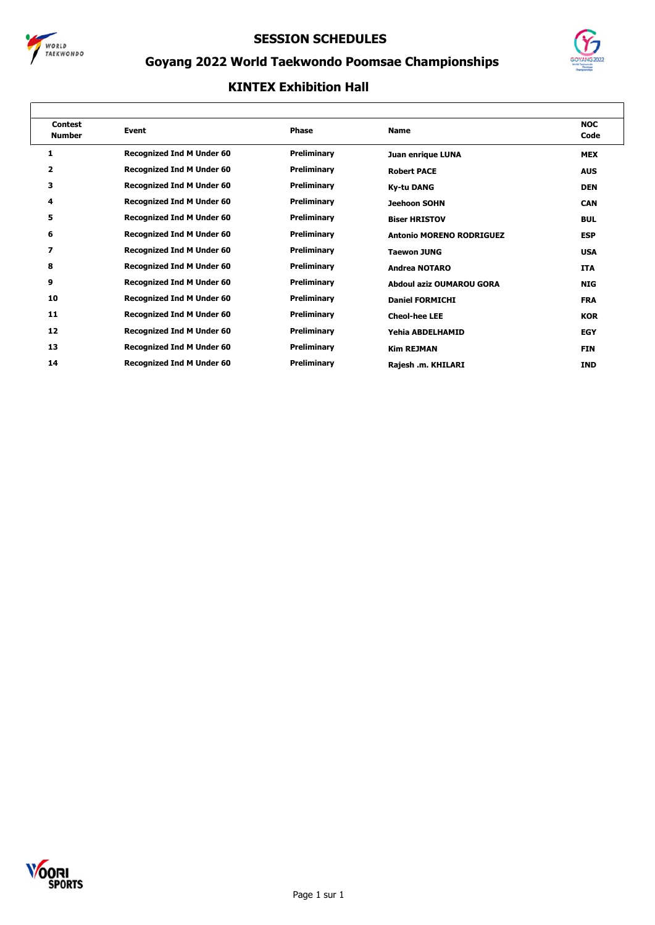



## **Goyang 2022 World Taekwondo Poomsae Championships**

| <b>Contest</b><br><b>Number</b> | <b>Event</b>                     | <b>Phase</b> | <b>Name</b>                     | <b>NOC</b><br>Code |
|---------------------------------|----------------------------------|--------------|---------------------------------|--------------------|
| 1                               | <b>Recognized Ind M Under 60</b> | Preliminary  | Juan enrique LUNA               | <b>MEX</b>         |
| $\overline{\mathbf{2}}$         | <b>Recognized Ind M Under 60</b> | Preliminary  | <b>Robert PACE</b>              | <b>AUS</b>         |
| 3                               | <b>Recognized Ind M Under 60</b> | Preliminary  | <b>Ky-tu DANG</b>               | <b>DEN</b>         |
| 4                               | <b>Recognized Ind M Under 60</b> | Preliminary  | <b>Jeehoon SOHN</b>             | <b>CAN</b>         |
| 5                               | <b>Recognized Ind M Under 60</b> | Preliminary  | <b>Biser HRISTOV</b>            | <b>BUL</b>         |
| 6                               | <b>Recognized Ind M Under 60</b> | Preliminary  | <b>Antonio MORENO RODRIGUEZ</b> | <b>ESP</b>         |
| 7                               | <b>Recognized Ind M Under 60</b> | Preliminary  | <b>Taewon JUNG</b>              | <b>USA</b>         |
| 8                               | <b>Recognized Ind M Under 60</b> | Preliminary  | <b>Andrea NOTARO</b>            | <b>ITA</b>         |
| 9                               | <b>Recognized Ind M Under 60</b> | Preliminary  | Abdoul aziz OUMAROU GORA        | <b>NIG</b>         |
| 10                              | <b>Recognized Ind M Under 60</b> | Preliminary  | <b>Daniel FORMICHI</b>          | <b>FRA</b>         |
| 11                              | <b>Recognized Ind M Under 60</b> | Preliminary  | <b>Cheol-hee LEE</b>            | <b>KOR</b>         |
| 12                              | <b>Recognized Ind M Under 60</b> | Preliminary  | Yehia ABDELHAMID                | <b>EGY</b>         |
| 13                              | <b>Recognized Ind M Under 60</b> | Preliminary  | <b>Kim REJMAN</b>               | <b>FIN</b>         |
| 14                              | <b>Recognized Ind M Under 60</b> | Preliminary  | Rajesh .m. KHILARI              | <b>IND</b>         |

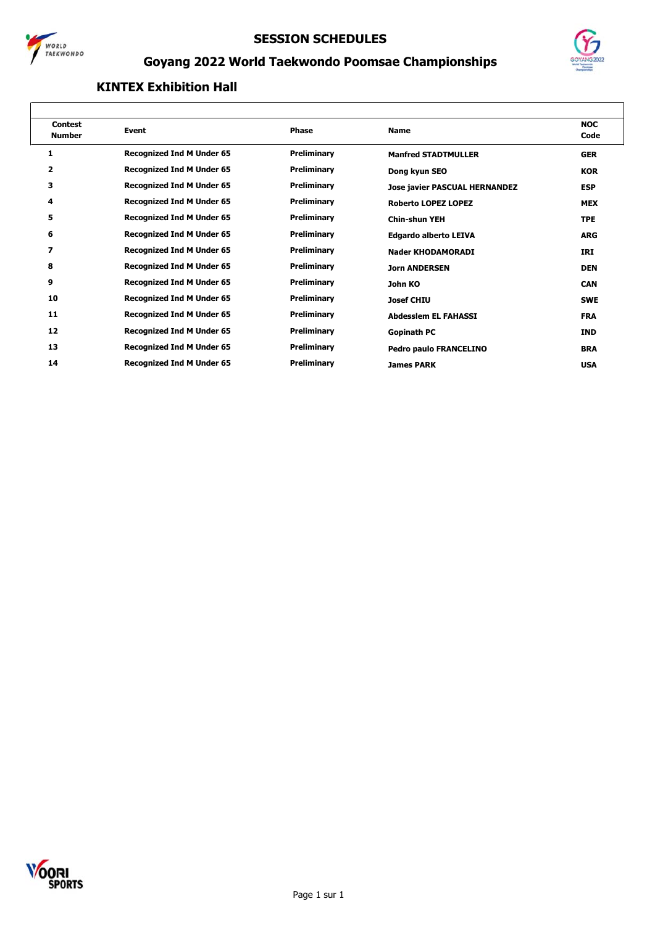



## **Goyang 2022 World Taekwondo Poomsae Championships**

| <b>Contest</b><br><b>Number</b> | Event                            | <b>Phase</b> | <b>Name</b>                          | <b>NOC</b><br>Code |
|---------------------------------|----------------------------------|--------------|--------------------------------------|--------------------|
| 1                               | <b>Recognized Ind M Under 65</b> | Preliminary  | <b>Manfred STADTMULLER</b>           | <b>GER</b>         |
| $\overline{\mathbf{2}}$         | <b>Recognized Ind M Under 65</b> | Preliminary  | Dong kyun SEO                        | <b>KOR</b>         |
| з                               | <b>Recognized Ind M Under 65</b> | Preliminary  | <b>Jose javier PASCUAL HERNANDEZ</b> | <b>ESP</b>         |
| 4                               | <b>Recognized Ind M Under 65</b> | Preliminary  | <b>Roberto LOPEZ LOPEZ</b>           | <b>MEX</b>         |
| 5                               | <b>Recognized Ind M Under 65</b> | Preliminary  | <b>Chin-shun YEH</b>                 | <b>TPE</b>         |
| 6                               | <b>Recognized Ind M Under 65</b> | Preliminary  | <b>Edgardo alberto LEIVA</b>         | <b>ARG</b>         |
| 7                               | <b>Recognized Ind M Under 65</b> | Preliminary  | <b>Nader KHODAMORADI</b>             | IRI                |
| 8                               | <b>Recognized Ind M Under 65</b> | Preliminary  | <b>Jorn ANDERSEN</b>                 | <b>DEN</b>         |
| 9                               | <b>Recognized Ind M Under 65</b> | Preliminary  | John KO                              | <b>CAN</b>         |
| 10                              | <b>Recognized Ind M Under 65</b> | Preliminary  | <b>Josef CHIU</b>                    | <b>SWE</b>         |
| 11                              | <b>Recognized Ind M Under 65</b> | Preliminary  | <b>Abdesslem EL FAHASSI</b>          | <b>FRA</b>         |
| 12                              | <b>Recognized Ind M Under 65</b> | Preliminary  | Gopinath PC                          | <b>IND</b>         |
| 13                              | <b>Recognized Ind M Under 65</b> | Preliminary  | <b>Pedro paulo FRANCELINO</b>        | <b>BRA</b>         |
| 14                              | <b>Recognized Ind M Under 65</b> | Preliminary  | <b>James PARK</b>                    | <b>USA</b>         |
|                                 |                                  |              |                                      |                    |

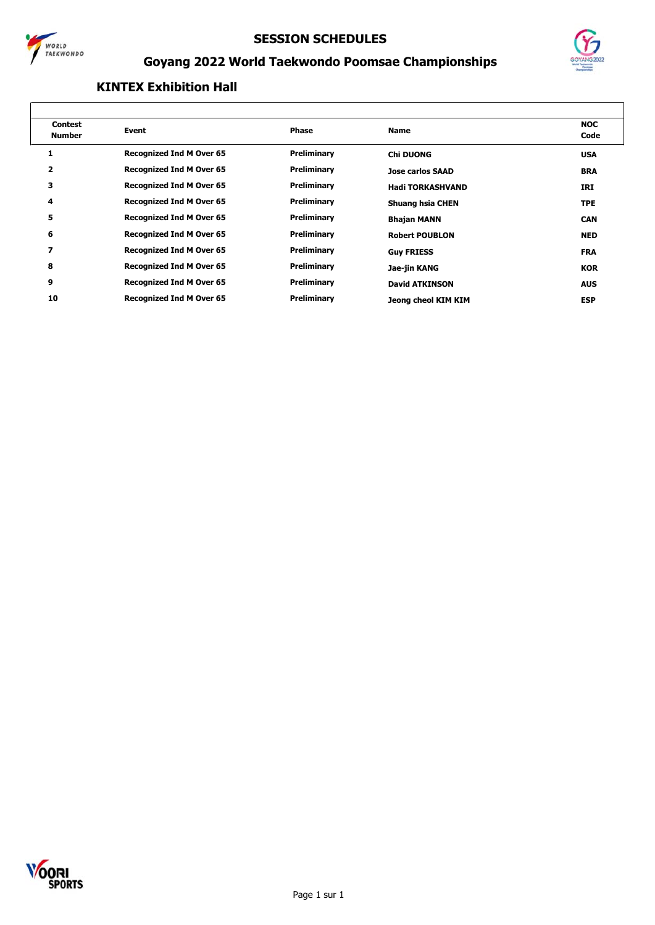



## **Goyang 2022 World Taekwondo Poomsae Championships**

| <b>Contest</b><br><b>Number</b> | Event                           | <b>Phase</b> | <b>Name</b>             | <b>NOC</b><br>Code |
|---------------------------------|---------------------------------|--------------|-------------------------|--------------------|
|                                 | <b>Recognized Ind M Over 65</b> | Preliminary  | <b>Chi DUONG</b>        | <b>USA</b>         |
| $\overline{\mathbf{2}}$         | <b>Recognized Ind M Over 65</b> | Preliminary  | <b>Jose carlos SAAD</b> | <b>BRA</b>         |
| з                               | <b>Recognized Ind M Over 65</b> | Preliminary  | <b>Hadi TORKASHVAND</b> | IRI                |
| 4                               | <b>Recognized Ind M Over 65</b> | Preliminary  | <b>Shuang hsia CHEN</b> | <b>TPE</b>         |
| 5                               | <b>Recognized Ind M Over 65</b> | Preliminary  | <b>Bhajan MANN</b>      | <b>CAN</b>         |
| 6                               | <b>Recognized Ind M Over 65</b> | Preliminary  | <b>Robert POUBLON</b>   | <b>NED</b>         |
| $\overline{\mathbf{z}}$         | <b>Recognized Ind M Over 65</b> | Preliminary  | <b>Guy FRIESS</b>       | <b>FRA</b>         |
| 8                               | <b>Recognized Ind M Over 65</b> | Preliminary  | Jae-jin KANG            | <b>KOR</b>         |
| 9                               | <b>Recognized Ind M Over 65</b> | Preliminary  | <b>David ATKINSON</b>   | <b>AUS</b>         |
| 10                              | <b>Recognized Ind M Over 65</b> | Preliminary  | Jeong cheol KIM KIM     | <b>ESP</b>         |
|                                 |                                 |              |                         |                    |

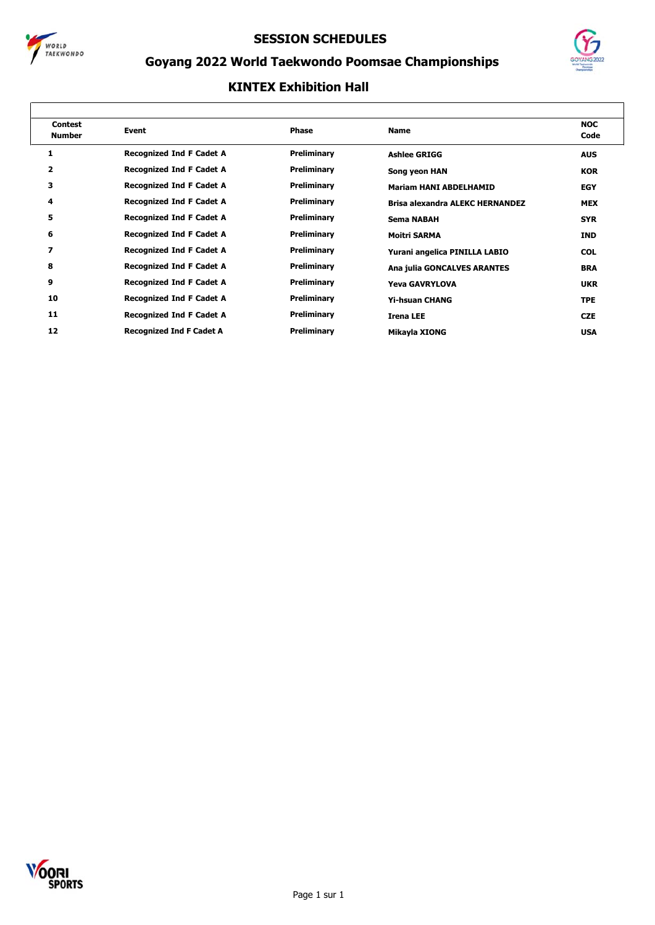



## **Goyang 2022 World Taekwondo Poomsae Championships**

| <b>Contest</b><br><b>Number</b> | Event                           | Phase       | <b>Name</b>                            | <b>NOC</b><br>Code |
|---------------------------------|---------------------------------|-------------|----------------------------------------|--------------------|
| 1                               | <b>Recognized Ind F Cadet A</b> | Preliminary | <b>Ashlee GRIGG</b>                    | <b>AUS</b>         |
| 2                               | <b>Recognized Ind F Cadet A</b> | Preliminary | Song yeon HAN                          | <b>KOR</b>         |
| 3                               | <b>Recognized Ind F Cadet A</b> | Preliminary | <b>Mariam HANI ABDELHAMID</b>          | <b>EGY</b>         |
| 4                               | <b>Recognized Ind F Cadet A</b> | Preliminary | <b>Brisa alexandra ALEKC HERNANDEZ</b> | <b>MEX</b>         |
| 5                               | <b>Recognized Ind F Cadet A</b> | Preliminary | <b>Sema NABAH</b>                      | <b>SYR</b>         |
| 6                               | <b>Recognized Ind F Cadet A</b> | Preliminary | <b>Moitri SARMA</b>                    | <b>IND</b>         |
| 7                               | <b>Recognized Ind F Cadet A</b> | Preliminary | Yurani angelica PINILLA LABIO          | <b>COL</b>         |
| 8                               | <b>Recognized Ind F Cadet A</b> | Preliminary | Ana julia GONCALVES ARANTES            | <b>BRA</b>         |
| 9                               | <b>Recognized Ind F Cadet A</b> | Preliminary | <b>Yeva GAVRYLOVA</b>                  | <b>UKR</b>         |
| 10                              | <b>Recognized Ind F Cadet A</b> | Preliminary | <b>Yi-hsuan CHANG</b>                  | <b>TPE</b>         |
| 11                              | <b>Recognized Ind F Cadet A</b> | Preliminary | <b>Irena LEE</b>                       | <b>CZE</b>         |
| 12                              | <b>Recognized Ind F Cadet A</b> | Preliminary | Mikayla XIONG                          | <b>USA</b>         |

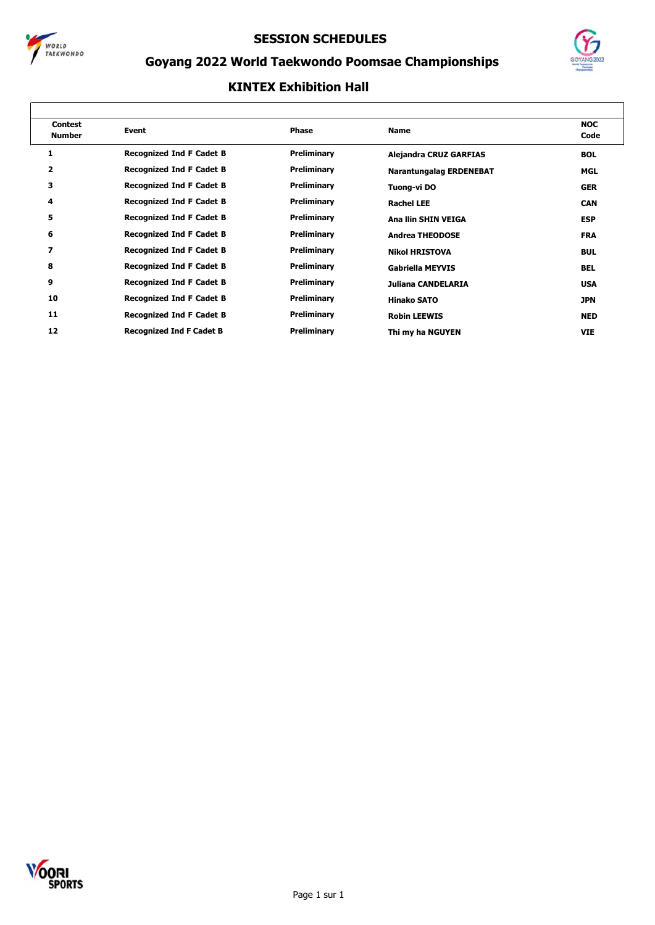



## **Goyang 2022 World Taekwondo Poomsae Championships**

| <b>Contest</b><br><b>Number</b> | Event                           | Phase       | <b>Name</b>                    | <b>NOC</b><br>Code |
|---------------------------------|---------------------------------|-------------|--------------------------------|--------------------|
| 1                               | <b>Recognized Ind F Cadet B</b> | Preliminary | <b>Alejandra CRUZ GARFIAS</b>  | <b>BOL</b>         |
| 2                               | <b>Recognized Ind F Cadet B</b> | Preliminary | <b>Narantungalag ERDENEBAT</b> | MGL                |
| 3                               | <b>Recognized Ind F Cadet B</b> | Preliminary | Tuong-vi DO                    | <b>GER</b>         |
| 4                               | <b>Recognized Ind F Cadet B</b> | Preliminary | <b>Rachel LEE</b>              | <b>CAN</b>         |
| 5                               | <b>Recognized Ind F Cadet B</b> | Preliminary | Ana Ilin SHIN VEIGA            | <b>ESP</b>         |
| 6                               | <b>Recognized Ind F Cadet B</b> | Preliminary | <b>Andrea THEODOSE</b>         | <b>FRA</b>         |
| 7                               | <b>Recognized Ind F Cadet B</b> | Preliminary | <b>Nikol HRISTOVA</b>          | <b>BUL</b>         |
| 8                               | <b>Recognized Ind F Cadet B</b> | Preliminary | <b>Gabriella MEYVIS</b>        | <b>BEL</b>         |
| 9                               | <b>Recognized Ind F Cadet B</b> | Preliminary | Juliana CANDELARIA             | <b>USA</b>         |
| 10                              | <b>Recognized Ind F Cadet B</b> | Preliminary | <b>Hinako SATO</b>             | <b>JPN</b>         |
| 11                              | <b>Recognized Ind F Cadet B</b> | Preliminary | <b>Robin LEEWIS</b>            | <b>NED</b>         |
| 12                              | <b>Recognized Ind F Cadet B</b> | Preliminary | Thi my ha NGUYEN               | <b>VIE</b>         |

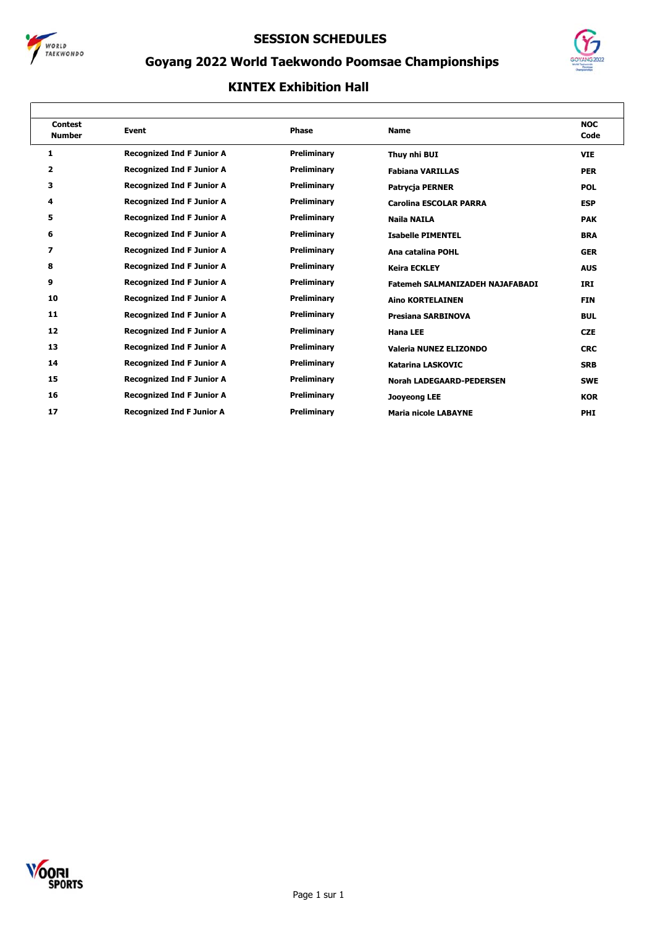



## **Goyang 2022 World Taekwondo Poomsae Championships**

| <b>Contest</b><br><b>Number</b> | Event                            | <b>Phase</b>       | <b>Name</b>                            | <b>NOC</b><br>Code |
|---------------------------------|----------------------------------|--------------------|----------------------------------------|--------------------|
| 1                               | <b>Recognized Ind F Junior A</b> | Preliminary        | Thuy nhi BUI                           | <b>VIE</b>         |
| 2                               | <b>Recognized Ind F Junior A</b> | Preliminary        | <b>Fabiana VARILLAS</b>                | <b>PER</b>         |
| з                               | <b>Recognized Ind F Junior A</b> | Preliminary        | Patrycja PERNER                        | <b>POL</b>         |
| 4                               | <b>Recognized Ind F Junior A</b> | Preliminary        | <b>Carolina ESCOLAR PARRA</b>          | <b>ESP</b>         |
| 5                               | <b>Recognized Ind F Junior A</b> | Preliminary        | Naila NAILA                            | <b>PAK</b>         |
| 6                               | <b>Recognized Ind F Junior A</b> | Preliminary        | <b>Isabelle PIMENTEL</b>               | <b>BRA</b>         |
| 7                               | <b>Recognized Ind F Junior A</b> | Preliminary        | Ana catalina POHL                      | <b>GER</b>         |
| 8                               | <b>Recognized Ind F Junior A</b> | <b>Preliminary</b> | <b>Keira ECKLEY</b>                    | <b>AUS</b>         |
| 9                               | <b>Recognized Ind F Junior A</b> | Preliminary        | <b>Fatemeh SALMANIZADEH NAJAFABADI</b> | IRI                |
| 10                              | <b>Recognized Ind F Junior A</b> | Preliminary        | <b>Aino KORTELAINEN</b>                | <b>FIN</b>         |
| 11                              | <b>Recognized Ind F Junior A</b> | Preliminary        | <b>Presiana SARBINOVA</b>              | <b>BUL</b>         |
| 12                              | <b>Recognized Ind F Junior A</b> | <b>Preliminary</b> | <b>Hana LEE</b>                        | <b>CZE</b>         |
| 13                              | <b>Recognized Ind F Junior A</b> | Preliminary        | Valeria NUNEZ ELIZONDO                 | <b>CRC</b>         |
| 14                              | <b>Recognized Ind F Junior A</b> | Preliminary        | <b>Katarina LASKOVIC</b>               | <b>SRB</b>         |
| 15                              | <b>Recognized Ind F Junior A</b> | Preliminary        | <b>Norah LADEGAARD-PEDERSEN</b>        | <b>SWE</b>         |
| 16                              | <b>Recognized Ind F Junior A</b> | Preliminary        | <b>Jooyeong LEE</b>                    | <b>KOR</b>         |
| 17                              | <b>Recognized Ind F Junior A</b> | Preliminary        | <b>Maria nicole LABAYNE</b>            | <b>PHI</b>         |

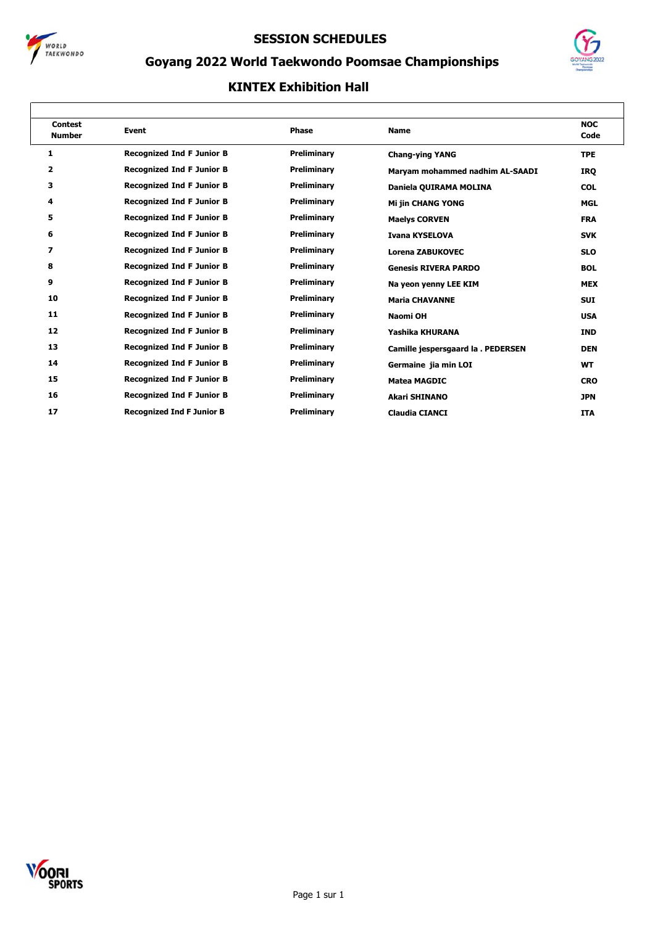



## **Goyang 2022 World Taekwondo Poomsae Championships**

| <b>Contest</b><br><b>Number</b> | Event                            | <b>Phase</b>       | <b>Name</b>                        | <b>NOC</b><br>Code |
|---------------------------------|----------------------------------|--------------------|------------------------------------|--------------------|
| 1                               | <b>Recognized Ind F Junior B</b> | Preliminary        | <b>Chang-ying YANG</b>             | <b>TPE</b>         |
| 2                               | <b>Recognized Ind F Junior B</b> | Preliminary        | Maryam mohammed nadhim AL-SAADI    | <b>IRQ</b>         |
| з                               | <b>Recognized Ind F Junior B</b> | Preliminary        | Daniela QUIRAMA MOLINA             | <b>COL</b>         |
| 4                               | <b>Recognized Ind F Junior B</b> | Preliminary        | <b>Mi jin CHANG YONG</b>           | <b>MGL</b>         |
| 5                               | <b>Recognized Ind F Junior B</b> | Preliminary        | <b>Maelys CORVEN</b>               | <b>FRA</b>         |
| 6                               | <b>Recognized Ind F Junior B</b> | Preliminary        | <b>Ivana KYSELOVA</b>              | <b>SVK</b>         |
| 7                               | <b>Recognized Ind F Junior B</b> | Preliminary        | Lorena ZABUKOVEC                   | <b>SLO</b>         |
| 8                               | <b>Recognized Ind F Junior B</b> | Preliminary        | <b>Genesis RIVERA PARDO</b>        | <b>BOL</b>         |
| 9                               | <b>Recognized Ind F Junior B</b> | Preliminary        | Na yeon yenny LEE KIM              | <b>MEX</b>         |
| 10                              | <b>Recognized Ind F Junior B</b> | Preliminary        | <b>Maria CHAVANNE</b>              | <b>SUI</b>         |
| 11                              | <b>Recognized Ind F Junior B</b> | Preliminary        | Naomi OH                           | <b>USA</b>         |
| 12                              | <b>Recognized Ind F Junior B</b> | Preliminary        | Yashika KHURANA                    | <b>IND</b>         |
| 13                              | <b>Recognized Ind F Junior B</b> | Preliminary        | Camille jespersgaard la . PEDERSEN | <b>DEN</b>         |
| 14                              | <b>Recognized Ind F Junior B</b> | Preliminary        | Germaine jia min LOI               | <b>WT</b>          |
| 15                              | <b>Recognized Ind F Junior B</b> | <b>Preliminary</b> | <b>Matea MAGDIC</b>                | <b>CRO</b>         |
| 16                              | <b>Recognized Ind F Junior B</b> | Preliminary        | <b>Akari SHINANO</b>               | <b>JPN</b>         |
| 17                              | <b>Recognized Ind F Junior B</b> | Preliminary        | <b>Claudia CIANCI</b>              | <b>ITA</b>         |

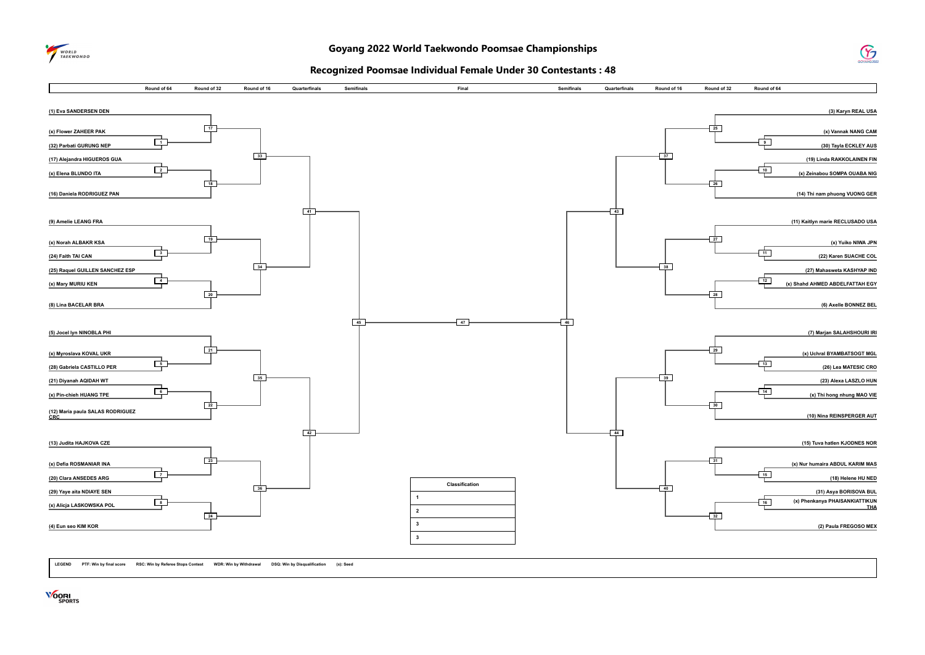



#### **Recognized Poomsae Individual Female Under 30 Contestants : 48**



**LEGEND PTF: Win by final score RSC: Win by Referee Stops Contest WDR: Win by Withdrawal DSQ: Win by Disqualification (x): Seed**

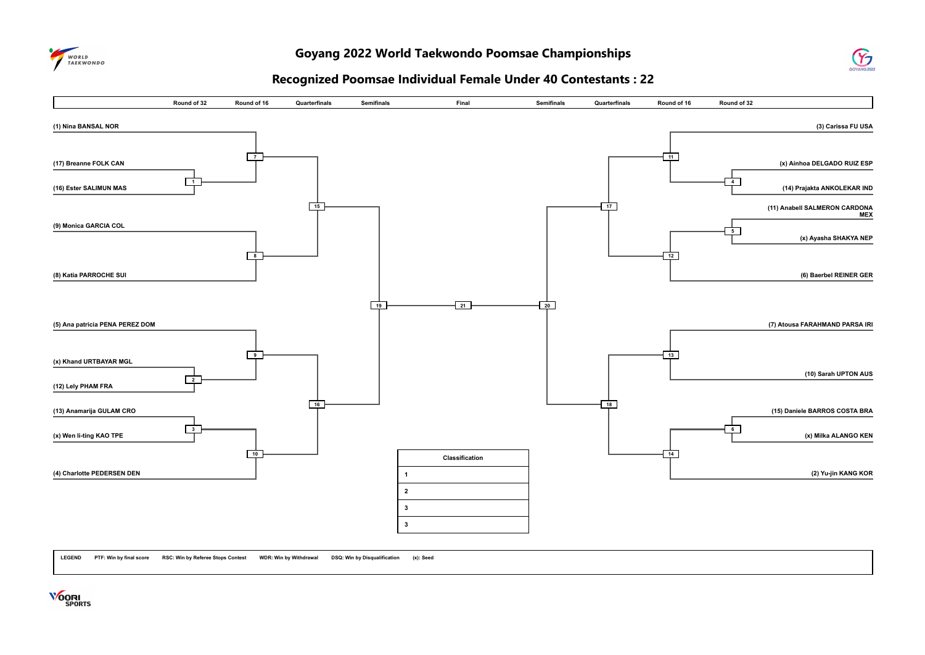

#### **Goyang 2022 World Taekwondo Poomsae Championships**



#### **Recognized Poomsae Individual Female Under 40 Contestants : 22**



**LEGEND PTF: Win by final score RSC: Win by Referee Stops Contest WDR: Win by Withdrawal DSQ: Win by Disqualification (x): Seed**

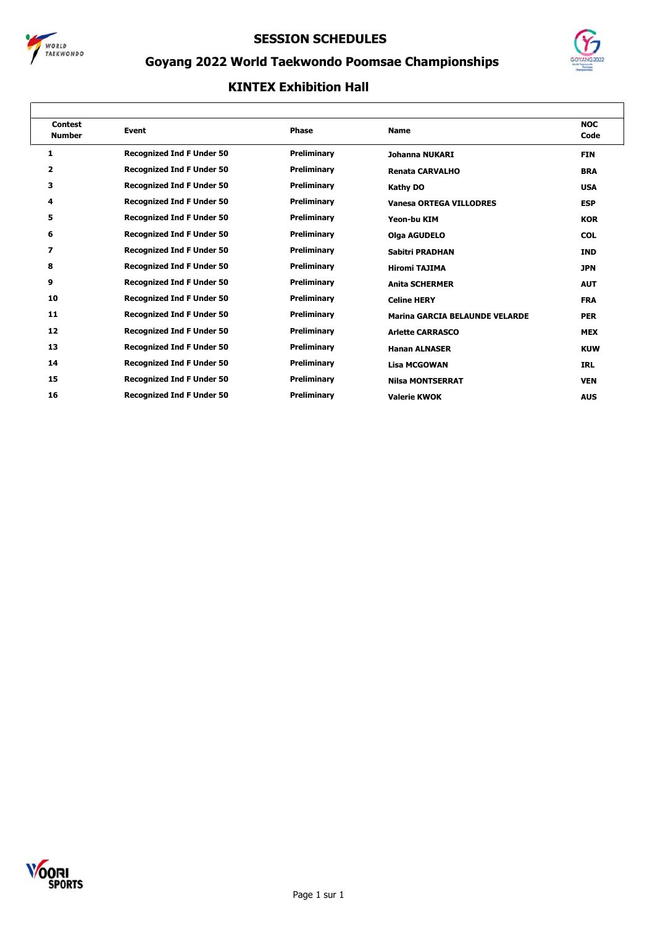



## **Goyang 2022 World Taekwondo Poomsae Championships**

| <b>Contest</b><br><b>Number</b> | <b>Event</b>                     | <b>Phase</b> | <b>Name</b>                           | <b>NOC</b><br>Code |
|---------------------------------|----------------------------------|--------------|---------------------------------------|--------------------|
| 1                               | <b>Recognized Ind F Under 50</b> | Preliminary  | Johanna NUKARI                        | <b>FIN</b>         |
| $\mathbf{z}$                    | <b>Recognized Ind F Under 50</b> | Preliminary  | <b>Renata CARVALHO</b>                | <b>BRA</b>         |
| з                               | <b>Recognized Ind F Under 50</b> | Preliminary  | <b>Kathy DO</b>                       | <b>USA</b>         |
| 4                               | <b>Recognized Ind F Under 50</b> | Preliminary  | <b>Vanesa ORTEGA VILLODRES</b>        | <b>ESP</b>         |
| 5                               | <b>Recognized Ind F Under 50</b> | Preliminary  | Yeon-bu KIM                           | <b>KOR</b>         |
| 6                               | <b>Recognized Ind F Under 50</b> | Preliminary  | <b>Olga AGUDELO</b>                   | <b>COL</b>         |
| 7                               | <b>Recognized Ind F Under 50</b> | Preliminary  | Sabitri PRADHAN                       | <b>IND</b>         |
| 8                               | <b>Recognized Ind F Under 50</b> | Preliminary  | <b>Hiromi TAJIMA</b>                  | <b>JPN</b>         |
| 9                               | <b>Recognized Ind F Under 50</b> | Preliminary  | <b>Anita SCHERMER</b>                 | <b>AUT</b>         |
| 10                              | <b>Recognized Ind F Under 50</b> | Preliminary  | <b>Celine HERY</b>                    | <b>FRA</b>         |
| 11                              | <b>Recognized Ind F Under 50</b> | Preliminary  | <b>Marina GARCIA BELAUNDE VELARDE</b> | <b>PER</b>         |
| 12                              | <b>Recognized Ind F Under 50</b> | Preliminary  | <b>Arlette CARRASCO</b>               | <b>MEX</b>         |
| 13                              | <b>Recognized Ind F Under 50</b> | Preliminary  | <b>Hanan ALNASER</b>                  | <b>KUW</b>         |
| 14                              | <b>Recognized Ind F Under 50</b> | Preliminary  | <b>Lisa MCGOWAN</b>                   | <b>IRL</b>         |
| 15                              | <b>Recognized Ind F Under 50</b> | Preliminary  | <b>Nilsa MONTSERRAT</b>               | <b>VEN</b>         |
| 16                              | <b>Recognized Ind F Under 50</b> | Preliminary  | <b>Valerie KWOK</b>                   | <b>AUS</b>         |

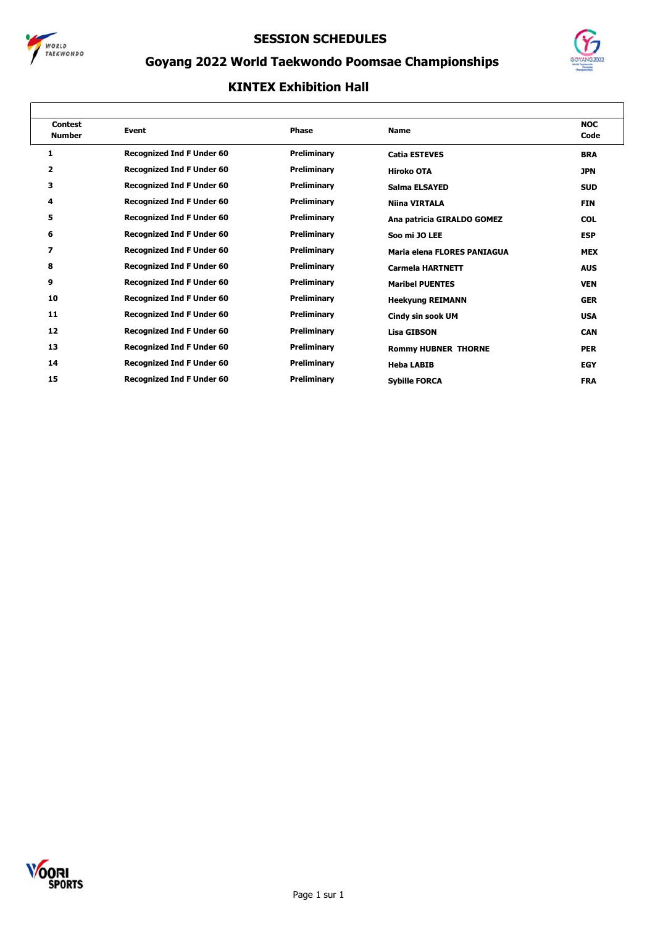



## **Goyang 2022 World Taekwondo Poomsae Championships**

| <b>Contest</b><br><b>Number</b> | Event                            | Phase       | <b>Name</b>                 | <b>NOC</b><br>Code |
|---------------------------------|----------------------------------|-------------|-----------------------------|--------------------|
| 1                               | <b>Recognized Ind F Under 60</b> | Preliminary | <b>Catia ESTEVES</b>        | <b>BRA</b>         |
| 2                               | <b>Recognized Ind F Under 60</b> | Preliminary | <b>Hiroko OTA</b>           | <b>JPN</b>         |
| 3                               | <b>Recognized Ind F Under 60</b> | Preliminary | Salma ELSAYED               | <b>SUD</b>         |
| 4                               | <b>Recognized Ind F Under 60</b> | Preliminary | <b>Niina VIRTALA</b>        | <b>FIN</b>         |
| 5                               | <b>Recognized Ind F Under 60</b> | Preliminary | Ana patricia GIRALDO GOMEZ  | <b>COL</b>         |
| 6                               | <b>Recognized Ind F Under 60</b> | Preliminary | Soo mi JO LEE               | <b>ESP</b>         |
| 7                               | <b>Recognized Ind F Under 60</b> | Preliminary | Maria elena FLORES PANIAGUA | <b>MEX</b>         |
| 8                               | <b>Recognized Ind F Under 60</b> | Preliminary | <b>Carmela HARTNETT</b>     | <b>AUS</b>         |
| 9                               | <b>Recognized Ind F Under 60</b> | Preliminary | <b>Maribel PUENTES</b>      | <b>VEN</b>         |
| 10                              | <b>Recognized Ind F Under 60</b> | Preliminary | <b>Heekyung REIMANN</b>     | <b>GER</b>         |
| 11                              | <b>Recognized Ind F Under 60</b> | Preliminary | Cindy sin sook UM           | <b>USA</b>         |
| 12                              | <b>Recognized Ind F Under 60</b> | Preliminary | <b>Lisa GIBSON</b>          | <b>CAN</b>         |
| 13                              | <b>Recognized Ind F Under 60</b> | Preliminary | <b>Rommy HUBNER THORNE</b>  | <b>PER</b>         |
| 14                              | <b>Recognized Ind F Under 60</b> | Preliminary | <b>Heba LABIB</b>           | <b>EGY</b>         |
| 15                              | <b>Recognized Ind F Under 60</b> | Preliminary | <b>Sybille FORCA</b>        | <b>FRA</b>         |

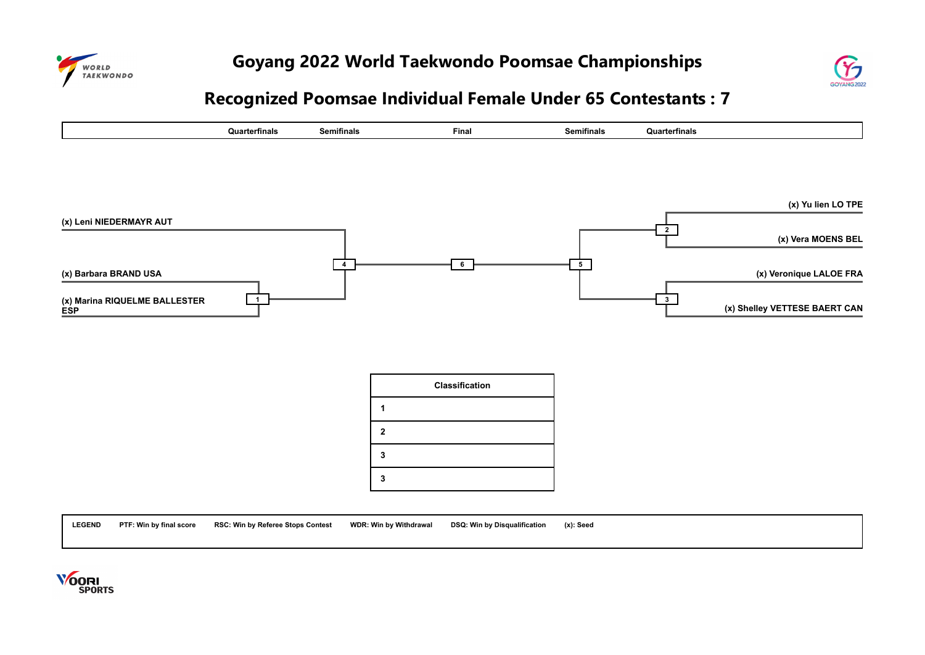



# **Recognized Poomsae Individual Female Under 65 Contestants : 7**



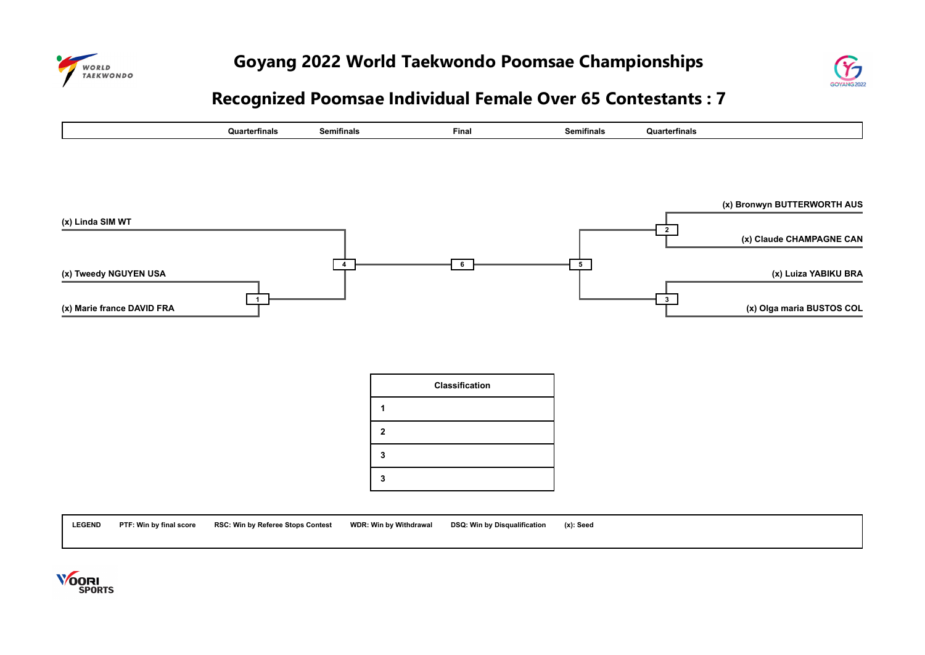



# **Recognized Poomsae Individual Female Over 65 Contestants : 7**



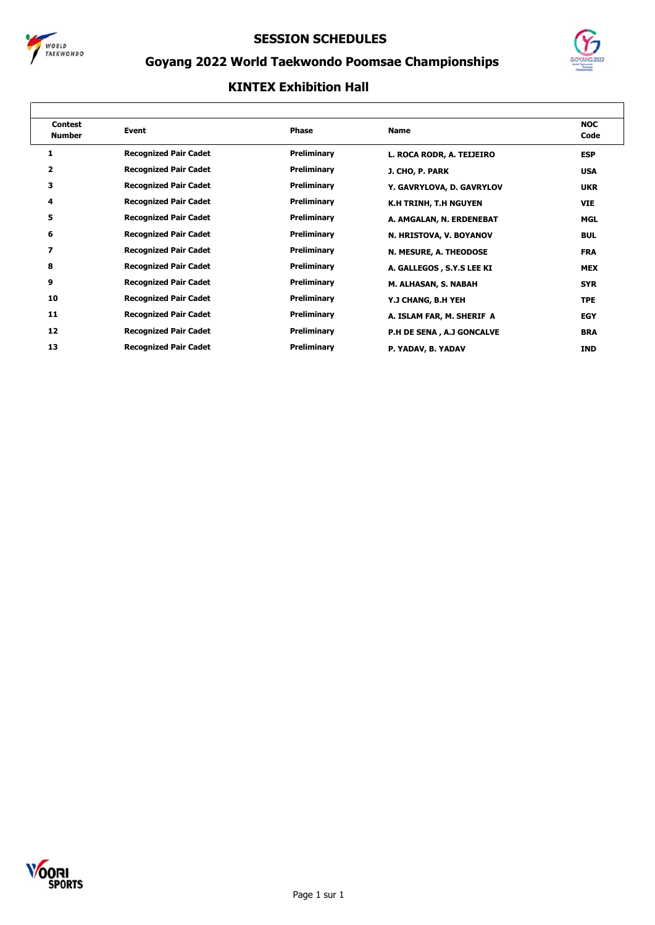



## **Goyang 2022 World Taekwondo Poomsae Championships**

| <b>Contest</b><br><b>Number</b> | <b>Event</b>                 | <b>Phase</b> | <b>Name</b>                  | <b>NOC</b><br>Code |
|---------------------------------|------------------------------|--------------|------------------------------|--------------------|
|                                 | <b>Recognized Pair Cadet</b> | Preliminary  | L. ROCA RODR, A. TEIJEIRO    | <b>ESP</b>         |
| 2                               | <b>Recognized Pair Cadet</b> | Preliminary  | J. CHO, P. PARK              | <b>USA</b>         |
| з                               | <b>Recognized Pair Cadet</b> | Preliminary  | Y. GAVRYLOVA, D. GAVRYLOV    | <b>UKR</b>         |
| 4                               | <b>Recognized Pair Cadet</b> | Preliminary  | <b>K.H TRINH, T.H NGUYEN</b> | <b>VIE</b>         |
| 5                               | <b>Recognized Pair Cadet</b> | Preliminary  | A. AMGALAN, N. ERDENEBAT     | MGL                |
| 6                               | <b>Recognized Pair Cadet</b> | Preliminary  | N. HRISTOVA, V. BOYANOV      | <b>BUL</b>         |
| $\overline{ }$                  | <b>Recognized Pair Cadet</b> | Preliminary  | N. MESURE, A. THEODOSE       | <b>FRA</b>         |
| 8                               | <b>Recognized Pair Cadet</b> | Preliminary  | A. GALLEGOS, S.Y.S LEE KI    | <b>MEX</b>         |
| 9                               | <b>Recognized Pair Cadet</b> | Preliminary  | M. ALHASAN, S. NABAH         | <b>SYR</b>         |
| 10                              | <b>Recognized Pair Cadet</b> | Preliminary  | Y.J CHANG, B.H YEH           | <b>TPE</b>         |
| 11                              | <b>Recognized Pair Cadet</b> | Preliminary  | A. ISLAM FAR, M. SHERIF A    | <b>EGY</b>         |
| 12                              | <b>Recognized Pair Cadet</b> | Preliminary  | P.H DE SENA, A.J GONCALVE    | <b>BRA</b>         |
| 13                              | <b>Recognized Pair Cadet</b> | Preliminary  | P. YADAV, B. YADAV           | <b>IND</b>         |

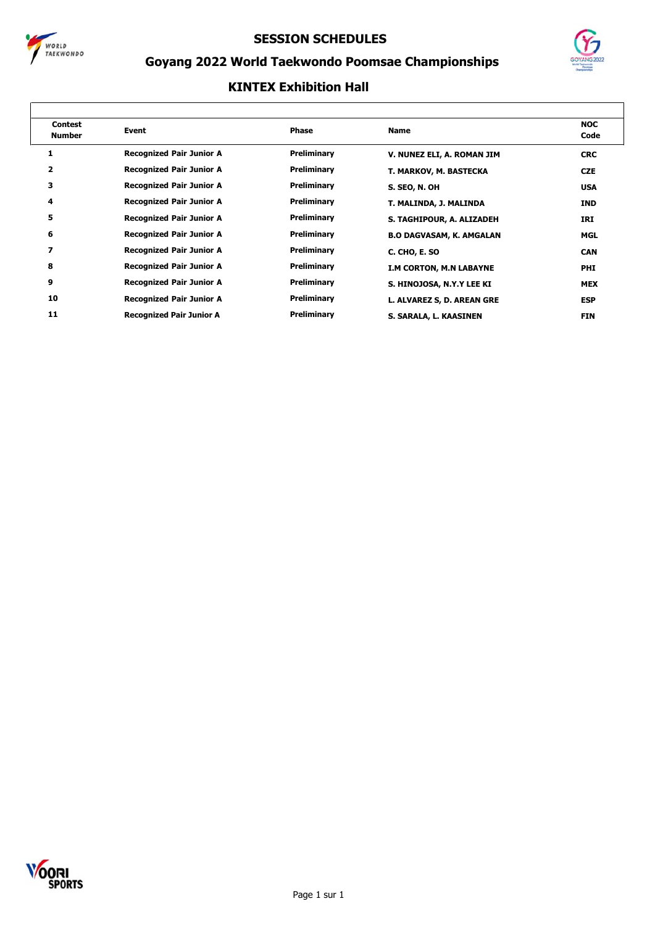



## **Goyang 2022 World Taekwondo Poomsae Championships**

| <b>Contest</b><br><b>Number</b> | Event                           | Phase       | <b>Name</b>                     | <b>NOC</b><br>Code |
|---------------------------------|---------------------------------|-------------|---------------------------------|--------------------|
|                                 | <b>Recognized Pair Junior A</b> | Preliminary | V. NUNEZ ELI, A. ROMAN JIM      | <b>CRC</b>         |
| 2                               | <b>Recognized Pair Junior A</b> | Preliminary | T. MARKOV, M. BASTECKA          | <b>CZE</b>         |
| 3                               | <b>Recognized Pair Junior A</b> | Preliminary | <b>S. SEO, N. OH</b>            | <b>USA</b>         |
| 4                               | <b>Recognized Pair Junior A</b> | Preliminary | T. MALINDA, J. MALINDA          | <b>IND</b>         |
| 5                               | <b>Recognized Pair Junior A</b> | Preliminary | S. TAGHIPOUR, A. ALIZADEH       | IRI                |
| 6                               | <b>Recognized Pair Junior A</b> | Preliminary | <b>B.O DAGVASAM, K. AMGALAN</b> | MGL                |
| 7                               | <b>Recognized Pair Junior A</b> | Preliminary | C. CHO, E. SO                   | <b>CAN</b>         |
| 8                               | <b>Recognized Pair Junior A</b> | Preliminary | <b>I.M CORTON, M.N LABAYNE</b>  | <b>PHI</b>         |
| 9                               | <b>Recognized Pair Junior A</b> | Preliminary | S. HINOJOSA, N.Y.Y LEE KI       | <b>MEX</b>         |
| 10                              | <b>Recognized Pair Junior A</b> | Preliminary | L. ALVAREZ S, D. AREAN GRE      | <b>ESP</b>         |
| 11                              | <b>Recognized Pair Junior A</b> | Preliminary | S. SARALA, L. KAASINEN          | <b>FIN</b>         |

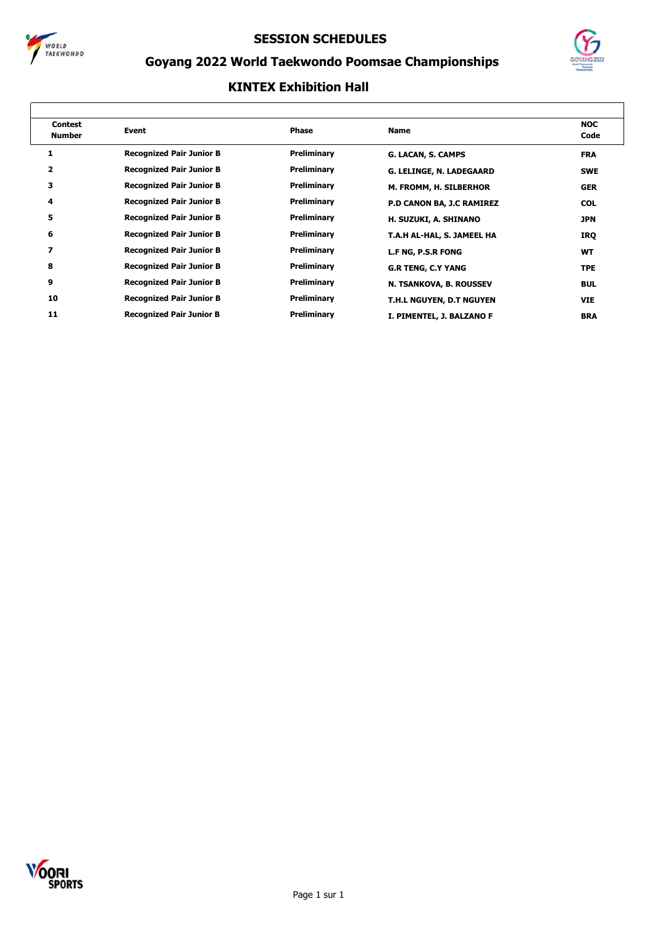



٦

## **Goyang 2022 World Taekwondo Poomsae Championships**

| <b>Contest</b><br><b>Number</b> | Event                           | <b>Phase</b> | <b>Name</b>                | <b>NOC</b><br>Code |
|---------------------------------|---------------------------------|--------------|----------------------------|--------------------|
|                                 | <b>Recognized Pair Junior B</b> | Preliminary  | G. LACAN, S. CAMPS         | <b>FRA</b>         |
| 2                               | <b>Recognized Pair Junior B</b> | Preliminary  | G. LELINGE, N. LADEGAARD   | <b>SWE</b>         |
| 3                               | <b>Recognized Pair Junior B</b> | Preliminary  | M. FROMM, H. SILBERHOR     | <b>GER</b>         |
| 4                               | <b>Recognized Pair Junior B</b> | Preliminary  | P.D CANON BA, J.C RAMIREZ  | <b>COL</b>         |
| 5                               | <b>Recognized Pair Junior B</b> | Preliminary  | H. SUZUKI, A. SHINANO      | JPN                |
| 6                               | <b>Recognized Pair Junior B</b> | Preliminary  | T.A.H AL-HAL, S. JAMEEL HA | IRQ                |
| 7                               | <b>Recognized Pair Junior B</b> | Preliminary  | L.F NG, P.S.R FONG         | WT                 |
| 8                               | <b>Recognized Pair Junior B</b> | Preliminary  | <b>G.R TENG, C.Y YANG</b>  | <b>TPE</b>         |
| 9                               | <b>Recognized Pair Junior B</b> | Preliminary  | N. TSANKOVA, B. ROUSSEV    | <b>BUL</b>         |
| 10                              | <b>Recognized Pair Junior B</b> | Preliminary  | T.H.L NGUYEN, D.T NGUYEN   | <b>VIE</b>         |
| 11                              | <b>Recognized Pair Junior B</b> | Preliminary  | I. PIMENTEL, J. BALZANO F  | <b>BRA</b>         |

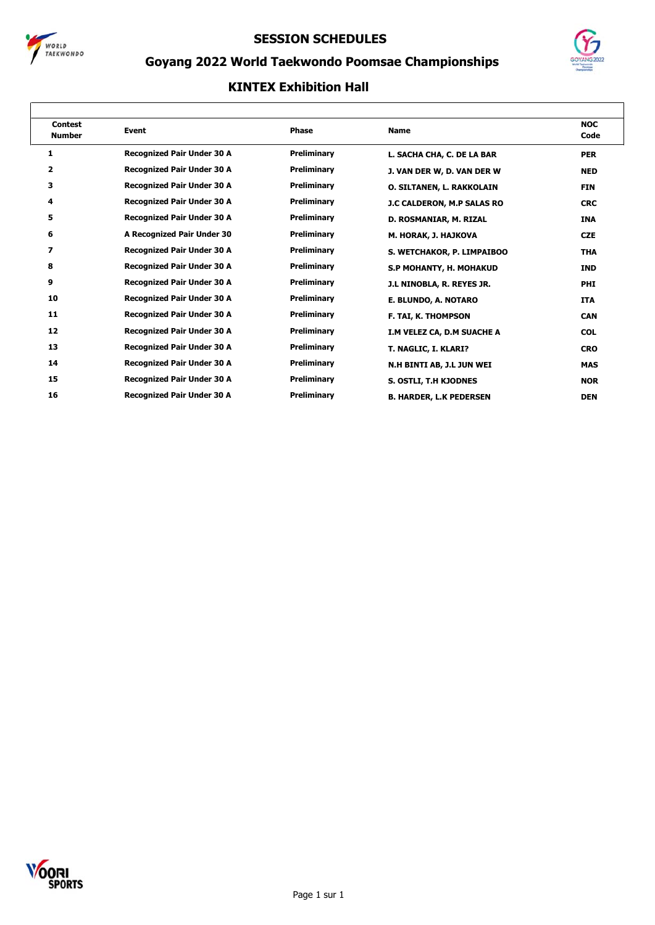



## **Goyang 2022 World Taekwondo Poomsae Championships**

| <b>Contest</b><br><b>Number</b> | <b>Event</b>                      | <b>Phase</b>       | <b>Name</b>                      | <b>NOC</b><br>Code |
|---------------------------------|-----------------------------------|--------------------|----------------------------------|--------------------|
| 1                               | <b>Recognized Pair Under 30 A</b> | Preliminary        | L. SACHA CHA, C. DE LA BAR       | <b>PER</b>         |
| 2                               | <b>Recognized Pair Under 30 A</b> | Preliminary        | J. VAN DER W, D. VAN DER W       | <b>NED</b>         |
| 3                               | <b>Recognized Pair Under 30 A</b> | Preliminary        | <b>O. SILTANEN, L. RAKKOLAIN</b> | <b>FIN</b>         |
| 4                               | <b>Recognized Pair Under 30 A</b> | Preliminary        | J.C CALDERON, M.P SALAS RO       | <b>CRC</b>         |
| 5                               | <b>Recognized Pair Under 30 A</b> | Preliminary        | D. ROSMANIAR, M. RIZAL           | <b>INA</b>         |
| 6                               | A Recognized Pair Under 30        | Preliminary        | M. HORAK, J. HAJKOVA             | <b>CZE</b>         |
| 7                               | <b>Recognized Pair Under 30 A</b> | Preliminary        | S. WETCHAKOR, P. LIMPAIBOO       | <b>THA</b>         |
| 8                               | <b>Recognized Pair Under 30 A</b> | <b>Preliminary</b> | S.P MOHANTY, H. MOHAKUD          | <b>IND</b>         |
| 9                               | <b>Recognized Pair Under 30 A</b> | Preliminary        | J.L NINOBLA, R. REYES JR.        | <b>PHI</b>         |
| 10                              | <b>Recognized Pair Under 30 A</b> | Preliminary        | E. BLUNDO, A. NOTARO             | <b>ITA</b>         |
| 11                              | <b>Recognized Pair Under 30 A</b> | <b>Preliminary</b> | <b>F. TAI, K. THOMPSON</b>       | <b>CAN</b>         |
| 12                              | <b>Recognized Pair Under 30 A</b> | Preliminary        | I.M VELEZ CA, D.M SUACHE A       | <b>COL</b>         |
| 13                              | <b>Recognized Pair Under 30 A</b> | Preliminary        | T. NAGLIC, I. KLARI?             | <b>CRO</b>         |
| 14                              | <b>Recognized Pair Under 30 A</b> | Preliminary        | N.H BINTI AB, J.L JUN WEI        | <b>MAS</b>         |
| 15                              | <b>Recognized Pair Under 30 A</b> | Preliminary        | S. OSTLI, T.H KJODNES            | <b>NOR</b>         |
| 16                              | <b>Recognized Pair Under 30 A</b> | Preliminary        | <b>B. HARDER, L.K PEDERSEN</b>   | <b>DEN</b>         |

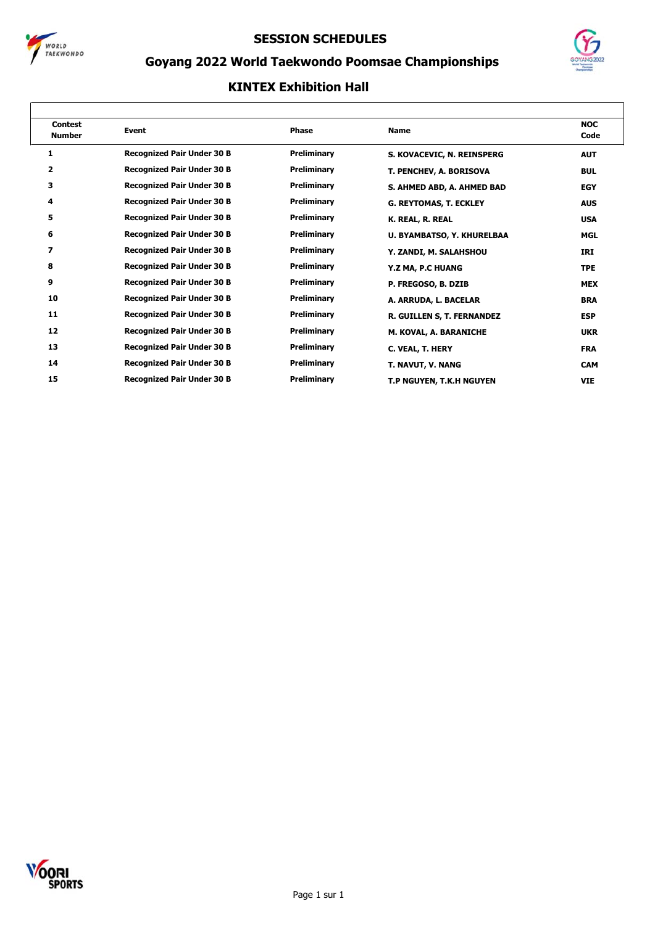



## **Goyang 2022 World Taekwondo Poomsae Championships**

| <b>Contest</b><br><b>Number</b> | <b>Event</b>                      | <b>Phase</b>       | <b>Name</b>                   | <b>NOC</b><br>Code |
|---------------------------------|-----------------------------------|--------------------|-------------------------------|--------------------|
| 1                               | <b>Recognized Pair Under 30 B</b> | Preliminary        | S. KOVACEVIC, N. REINSPERG    | <b>AUT</b>         |
| 2                               | <b>Recognized Pair Under 30 B</b> | Preliminary        | T. PENCHEV, A. BORISOVA       | <b>BUL</b>         |
| 3                               | <b>Recognized Pair Under 30 B</b> | Preliminary        | S. AHMED ABD, A. AHMED BAD    | <b>EGY</b>         |
| 4                               | <b>Recognized Pair Under 30 B</b> | Preliminary        | <b>G. REYTOMAS, T. ECKLEY</b> | <b>AUS</b>         |
| 5                               | <b>Recognized Pair Under 30 B</b> | Preliminary        | K. REAL, R. REAL              | <b>USA</b>         |
| 6                               | <b>Recognized Pair Under 30 B</b> | Preliminary        | U. BYAMBATSO, Y. KHURELBAA    | <b>MGL</b>         |
| 7                               | <b>Recognized Pair Under 30 B</b> | Preliminary        | Y. ZANDI, M. SALAHSHOU        | IRI                |
| 8                               | <b>Recognized Pair Under 30 B</b> | Preliminary        | Y.Z MA, P.C HUANG             | <b>TPE</b>         |
| 9                               | <b>Recognized Pair Under 30 B</b> | Preliminary        | P. FREGOSO, B. DZIB           | <b>MEX</b>         |
| 10                              | <b>Recognized Pair Under 30 B</b> | Preliminary        | A. ARRUDA, L. BACELAR         | <b>BRA</b>         |
| 11                              | <b>Recognized Pair Under 30 B</b> | Preliminary        | R. GUILLEN S, T. FERNANDEZ    | <b>ESP</b>         |
| 12                              | <b>Recognized Pair Under 30 B</b> | Preliminary        | M. KOVAL, A. BARANICHE        | <b>UKR</b>         |
| 13                              | <b>Recognized Pair Under 30 B</b> | Preliminary        | C. VEAL, T. HERY              | <b>FRA</b>         |
| 14                              | <b>Recognized Pair Under 30 B</b> | Preliminary        | T. NAVUT, V. NANG             | <b>CAM</b>         |
| 15                              | <b>Recognized Pair Under 30 B</b> | <b>Preliminary</b> | T.P NGUYEN, T.K.H NGUYEN      | <b>VIE</b>         |

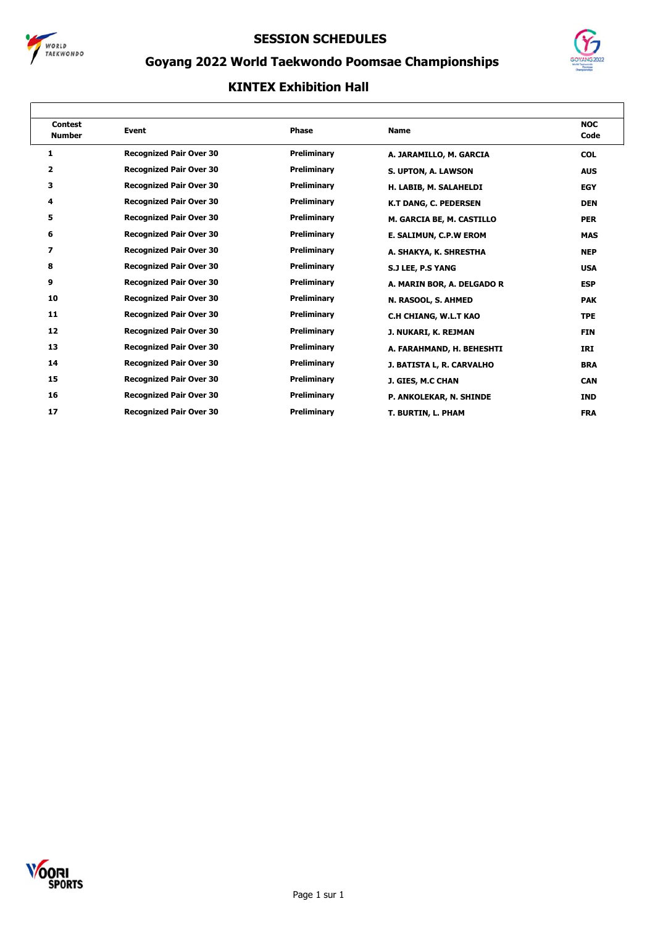



## **Goyang 2022 World Taekwondo Poomsae Championships**

| <b>Contest</b><br><b>Number</b> | <b>Event</b>                   | <b>Phase</b>       | <b>Name</b>                  | <b>NOC</b><br>Code |
|---------------------------------|--------------------------------|--------------------|------------------------------|--------------------|
| 1                               | <b>Recognized Pair Over 30</b> | <b>Preliminary</b> | A. JARAMILLO, M. GARCIA      | <b>COL</b>         |
| $\overline{\mathbf{2}}$         | <b>Recognized Pair Over 30</b> | Preliminary        | S. UPTON, A. LAWSON          | <b>AUS</b>         |
| з                               | <b>Recognized Pair Over 30</b> | Preliminary        | H. LABIB, M. SALAHELDI       | <b>EGY</b>         |
| 4                               | <b>Recognized Pair Over 30</b> | <b>Preliminary</b> | <b>K.T DANG, C. PEDERSEN</b> | <b>DEN</b>         |
| 5                               | <b>Recognized Pair Over 30</b> | Preliminary        | M. GARCIA BE, M. CASTILLO    | <b>PER</b>         |
| 6                               | <b>Recognized Pair Over 30</b> | Preliminary        | E. SALIMUN, C.P.W EROM       | <b>MAS</b>         |
| 7                               | <b>Recognized Pair Over 30</b> | Preliminary        | A. SHAKYA, K. SHRESTHA       | <b>NEP</b>         |
| 8                               | <b>Recognized Pair Over 30</b> | Preliminary        | S.J LEE, P.S YANG            | <b>USA</b>         |
| 9                               | <b>Recognized Pair Over 30</b> | Preliminary        | A. MARIN BOR, A. DELGADO R   | <b>ESP</b>         |
| 10                              | <b>Recognized Pair Over 30</b> | Preliminary        | N. RASOOL, S. AHMED          | <b>PAK</b>         |
| 11                              | <b>Recognized Pair Over 30</b> | Preliminary        | C.H CHIANG, W.L.T KAO        | <b>TPE</b>         |
| 12                              | <b>Recognized Pair Over 30</b> | <b>Preliminary</b> | J. NUKARI, K. REJMAN         | <b>FIN</b>         |
| 13                              | <b>Recognized Pair Over 30</b> | Preliminary        | A. FARAHMAND, H. BEHESHTI    | IRI                |
| 14                              | <b>Recognized Pair Over 30</b> | Preliminary        | J. BATISTA L, R. CARVALHO    | <b>BRA</b>         |
| 15                              | <b>Recognized Pair Over 30</b> | Preliminary        | J. GIES, M.C CHAN            | <b>CAN</b>         |
| 16                              | <b>Recognized Pair Over 30</b> | Preliminary        | P. ANKOLEKAR, N. SHINDE      | <b>IND</b>         |
| 17                              | <b>Recognized Pair Over 30</b> | <b>Preliminary</b> | T. BURTIN, L. PHAM           | <b>FRA</b>         |

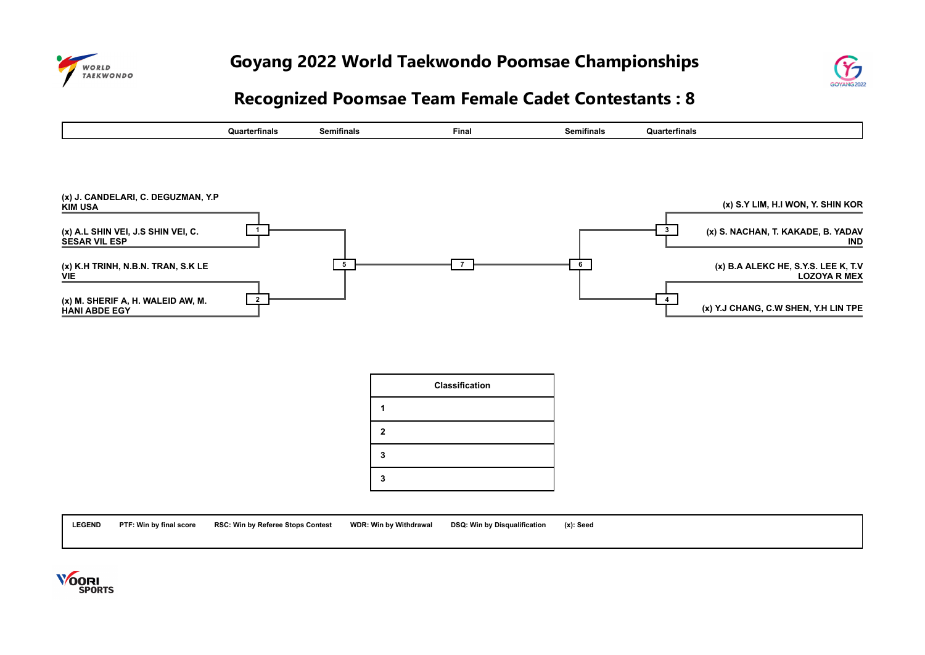



# **Recognized Poomsae Team Female Cadet Contestants : 8**



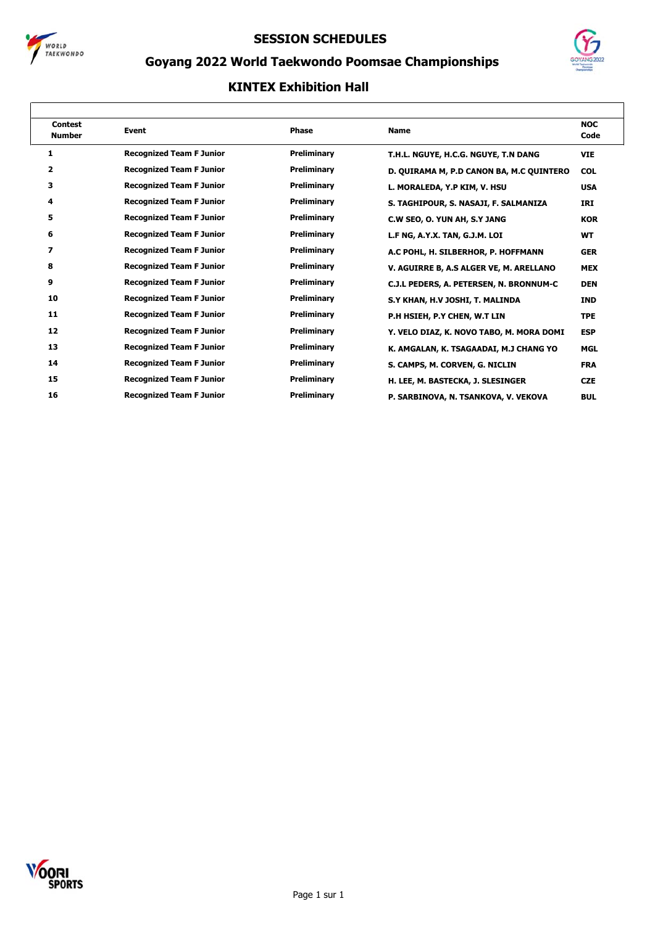



## **Goyang 2022 World Taekwondo Poomsae Championships**

| <b>Contest</b><br><b>Number</b> | <b>Event</b>                    | <b>Phase</b>       | <b>Name</b>                              | <b>NOC</b><br>Code |
|---------------------------------|---------------------------------|--------------------|------------------------------------------|--------------------|
| 1                               | <b>Recognized Team F Junior</b> | Preliminary        | T.H.L. NGUYE, H.C.G. NGUYE, T.N DANG     | <b>VIE</b>         |
| $\overline{\mathbf{2}}$         | <b>Recognized Team F Junior</b> | <b>Preliminary</b> | D. QUIRAMA M, P.D CANON BA, M.C QUINTERO | <b>COL</b>         |
| з                               | <b>Recognized Team F Junior</b> | Preliminary        | L. MORALEDA, Y.P KIM, V. HSU             | <b>USA</b>         |
| 4                               | <b>Recognized Team F Junior</b> | Preliminary        | S. TAGHIPOUR, S. NASAJI, F. SALMANIZA    | IRI                |
| 5                               | <b>Recognized Team F Junior</b> | Preliminary        | C.W SEO, O. YUN AH, S.Y JANG             | <b>KOR</b>         |
| 6                               | <b>Recognized Team F Junior</b> | Preliminary        | L.F NG, A.Y.X. TAN, G.J.M. LOI           | <b>WT</b>          |
| 7                               | <b>Recognized Team F Junior</b> | Preliminary        | A.C POHL, H. SILBERHOR, P. HOFFMANN      | <b>GER</b>         |
| 8                               | <b>Recognized Team F Junior</b> | Preliminary        | V. AGUIRRE B, A.S ALGER VE, M. ARELLANO  | <b>MEX</b>         |
| 9                               | <b>Recognized Team F Junior</b> | Preliminary        | C.J.L PEDERS, A. PETERSEN, N. BRONNUM-C  | <b>DEN</b>         |
| 10                              | <b>Recognized Team F Junior</b> | Preliminary        | S.Y KHAN, H.V JOSHI, T. MALINDA          | <b>IND</b>         |
| 11                              | <b>Recognized Team F Junior</b> | Preliminary        | P.H HSIEH, P.Y CHEN, W.T LIN             | <b>TPE</b>         |
| 12                              | <b>Recognized Team F Junior</b> | Preliminary        | Y. VELO DIAZ, K. NOVO TABO, M. MORA DOMI | <b>ESP</b>         |
| 13                              | <b>Recognized Team F Junior</b> | Preliminary        | K. AMGALAN, K. TSAGAADAI, M.J CHANG YO   | <b>MGL</b>         |
| 14                              | <b>Recognized Team F Junior</b> | Preliminary        | S. CAMPS, M. CORVEN, G. NICLIN           | <b>FRA</b>         |
| 15                              | <b>Recognized Team F Junior</b> | Preliminary        | H. LEE, M. BASTECKA, J. SLESINGER        | <b>CZE</b>         |
| 16                              | <b>Recognized Team F Junior</b> | Preliminary        | P. SARBINOVA, N. TSANKOVA, V. VEKOVA     | <b>BUL</b>         |

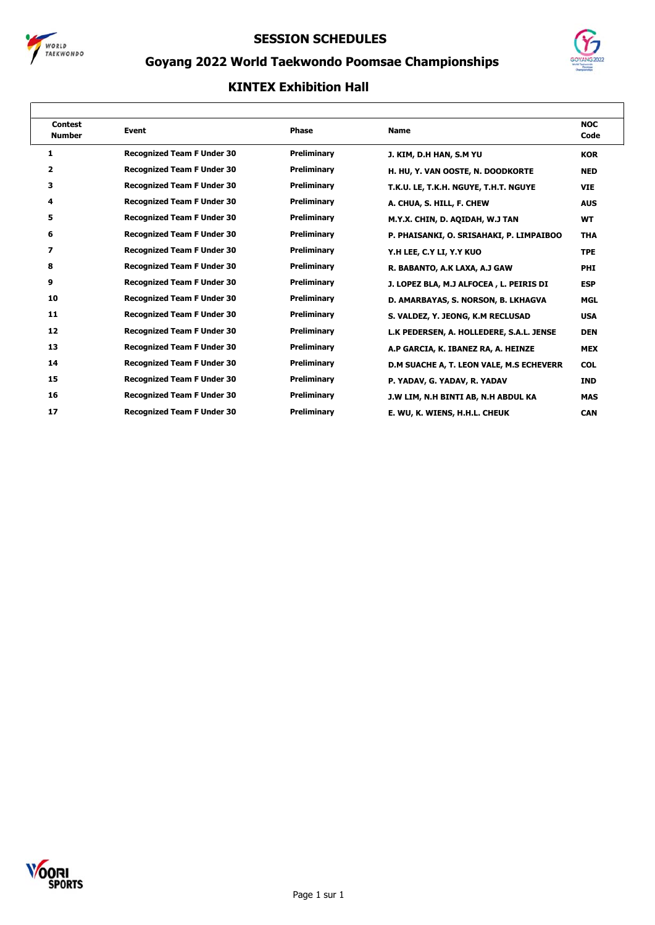



## **Goyang 2022 World Taekwondo Poomsae Championships**

| <b>Contest</b><br><b>Number</b> | <b>Event</b>                      | <b>Phase</b> | <b>Name</b>                              | <b>NOC</b><br>Code |
|---------------------------------|-----------------------------------|--------------|------------------------------------------|--------------------|
| 1                               | <b>Recognized Team F Under 30</b> | Preliminary  | J. KIM, D.H HAN, S.M YU                  | <b>KOR</b>         |
| 2                               | <b>Recognized Team F Under 30</b> | Preliminary  | H. HU, Y. VAN OOSTE, N. DOODKORTE        | <b>NED</b>         |
| 3                               | <b>Recognized Team F Under 30</b> | Preliminary  | T.K.U. LE, T.K.H. NGUYE, T.H.T. NGUYE    | <b>VIE</b>         |
| 4                               | <b>Recognized Team F Under 30</b> | Preliminary  | A. CHUA, S. HILL, F. CHEW                | <b>AUS</b>         |
| 5                               | <b>Recognized Team F Under 30</b> | Preliminary  | M.Y.X. CHIN, D. AQIDAH, W.J TAN          | <b>WT</b>          |
| 6                               | <b>Recognized Team F Under 30</b> | Preliminary  | P. PHAISANKI, O. SRISAHAKI, P. LIMPAIBOO | <b>THA</b>         |
| 7                               | <b>Recognized Team F Under 30</b> | Preliminary  | Y.H LEE, C.Y LI, Y.Y KUO                 | <b>TPE</b>         |
| 8                               | <b>Recognized Team F Under 30</b> | Preliminary  | R. BABANTO, A.K LAXA, A.J GAW            | <b>PHI</b>         |
| 9                               | <b>Recognized Team F Under 30</b> | Preliminary  | J. LOPEZ BLA, M.J ALFOCEA, L. PEIRIS DI  | <b>ESP</b>         |
| 10                              | <b>Recognized Team F Under 30</b> | Preliminary  | D. AMARBAYAS, S. NORSON, B. LKHAGVA      | <b>MGL</b>         |
| 11                              | <b>Recognized Team F Under 30</b> | Preliminary  | S. VALDEZ, Y. JEONG, K.M RECLUSAD        | <b>USA</b>         |
| 12                              | <b>Recognized Team F Under 30</b> | Preliminary  | L.K PEDERSEN, A. HOLLEDERE, S.A.L. JENSE | <b>DEN</b>         |
| 13                              | <b>Recognized Team F Under 30</b> | Preliminary  | A.P GARCIA, K. IBANEZ RA, A. HEINZE      | <b>MEX</b>         |
| 14                              | <b>Recognized Team F Under 30</b> | Preliminary  | D.M SUACHE A, T. LEON VALE, M.S ECHEVERR | <b>COL</b>         |
| 15                              | <b>Recognized Team F Under 30</b> | Preliminary  | P. YADAV, G. YADAV, R. YADAV             | <b>IND</b>         |
| 16                              | <b>Recognized Team F Under 30</b> | Preliminary  | J.W LIM, N.H BINTI AB, N.H ABDUL KA      | <b>MAS</b>         |
| 17                              | <b>Recognized Team F Under 30</b> | Preliminary  | E. WU, K. WIENS, H.H.L. CHEUK            | <b>CAN</b>         |

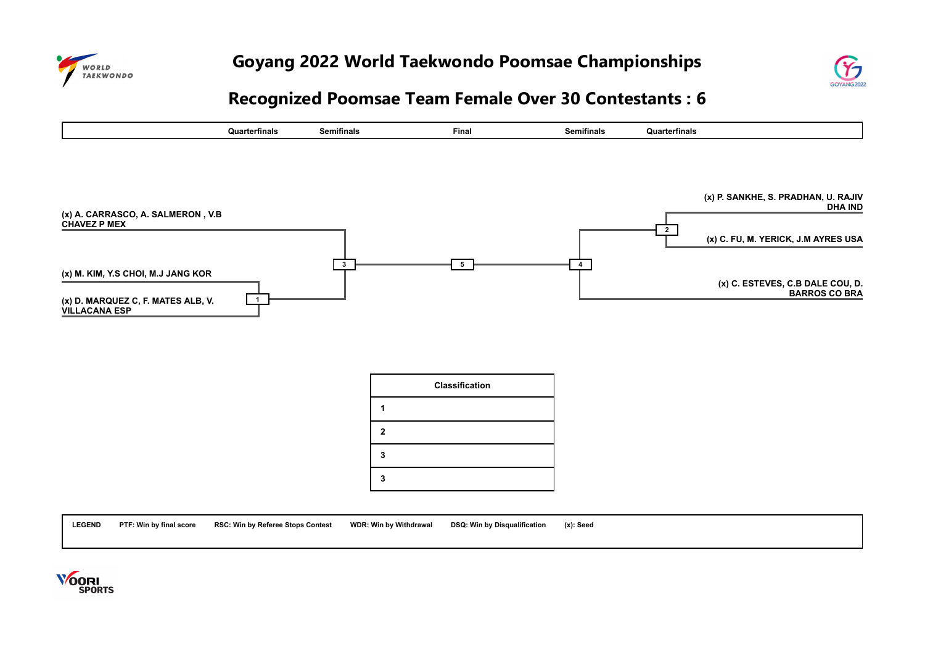



# **Recognized Poomsae Team Female Over 30 Contestants : 6**



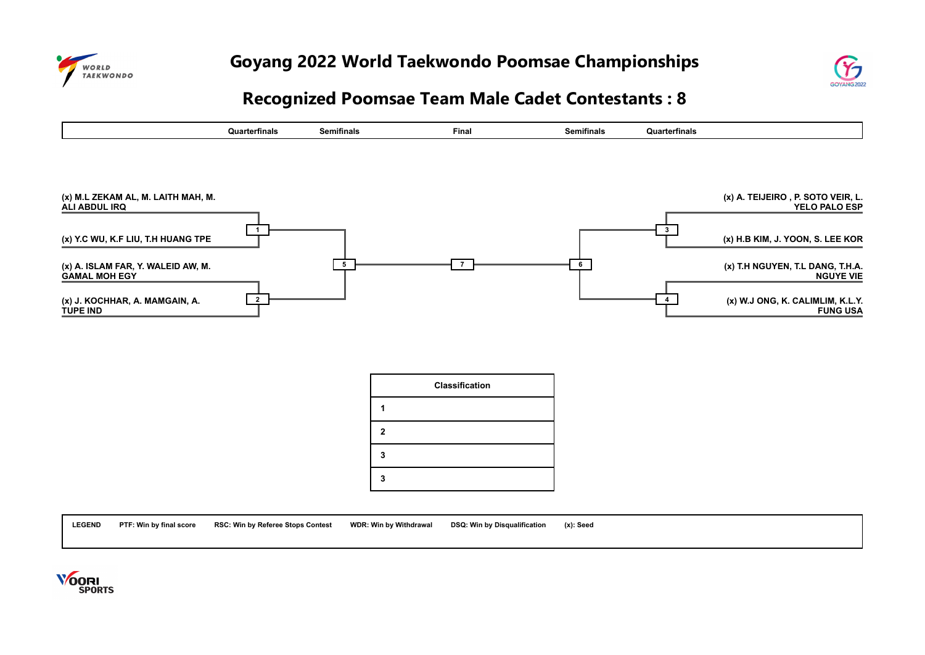



## **Recognized Poomsae Team Male Cadet Contestants : 8**



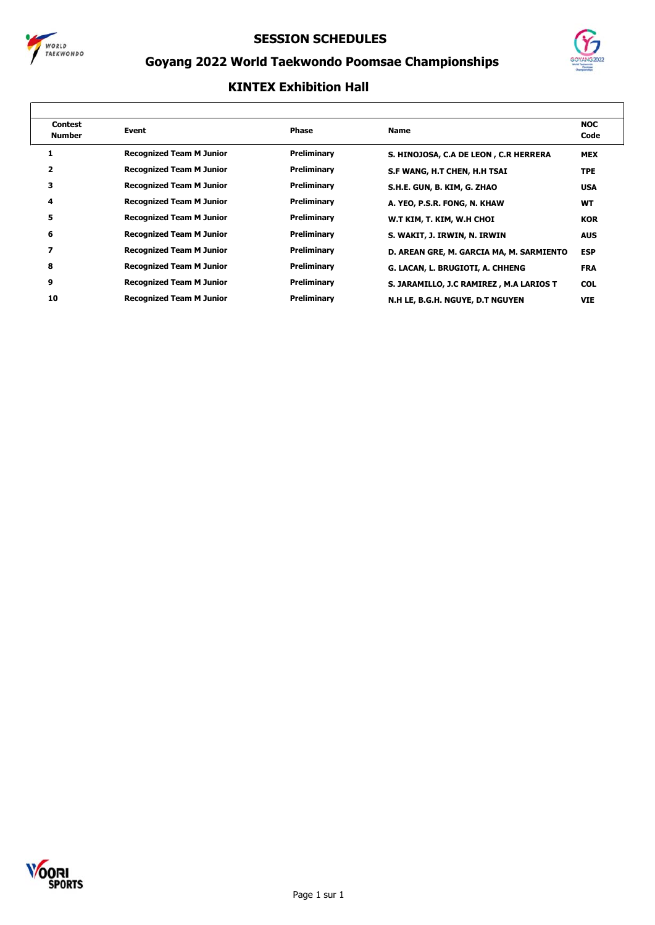



## **Goyang 2022 World Taekwondo Poomsae Championships**

| <b>Contest</b><br><b>Number</b> | Event                           | <b>Phase</b> | <b>Name</b>                              | <b>NOC</b><br>Code |
|---------------------------------|---------------------------------|--------------|------------------------------------------|--------------------|
|                                 | <b>Recognized Team M Junior</b> | Preliminary  | S. HINOJOSA, C.A DE LEON, C.R HERRERA    | <b>MEX</b>         |
| 2                               | <b>Recognized Team M Junior</b> | Preliminary  | S.F WANG, H.T CHEN, H.H TSAI             | <b>TPE</b>         |
| з                               | <b>Recognized Team M Junior</b> | Preliminary  | S.H.E. GUN, B. KIM, G. ZHAO              | <b>USA</b>         |
| 4                               | <b>Recognized Team M Junior</b> | Preliminary  | A. YEO, P.S.R. FONG, N. KHAW             | <b>WT</b>          |
| 5                               | <b>Recognized Team M Junior</b> | Preliminary  | W.T KIM, T. KIM, W.H CHOI                | <b>KOR</b>         |
| 6                               | <b>Recognized Team M Junior</b> | Preliminary  | S. WAKIT, J. IRWIN, N. IRWIN             | <b>AUS</b>         |
| 7                               | <b>Recognized Team M Junior</b> | Preliminary  | D. AREAN GRE, M. GARCIA MA, M. SARMIENTO | <b>ESP</b>         |
| 8                               | <b>Recognized Team M Junior</b> | Preliminary  | G. LACAN, L. BRUGIOTI, A. CHHENG         | <b>FRA</b>         |
| 9                               | <b>Recognized Team M Junior</b> | Preliminary  | S. JARAMILLO, J.C RAMIREZ, M.A LARIOS T  | <b>COL</b>         |
| 10                              | <b>Recognized Team M Junior</b> | Preliminary  | N.H LE, B.G.H. NGUYE, D.T NGUYEN         | <b>VIE</b>         |
|                                 |                                 |              |                                          |                    |

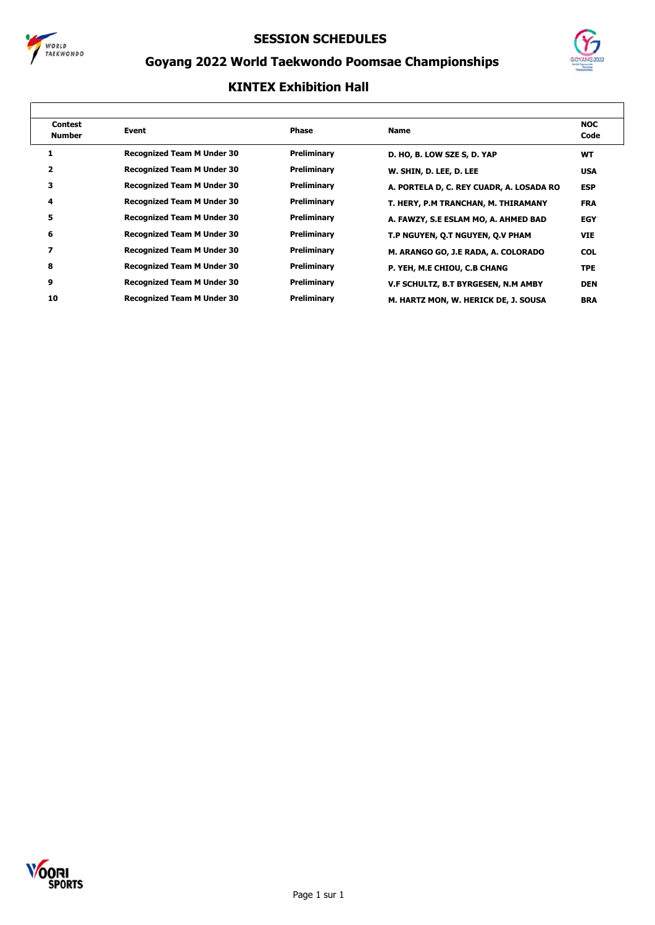



## **Goyang 2022 World Taekwondo Poomsae Championships**

| <b>Contest</b><br>Number | Event                             | <b>Phase</b> | <b>Name</b>                              | <b>NOC</b><br>Code |
|--------------------------|-----------------------------------|--------------|------------------------------------------|--------------------|
|                          | <b>Recognized Team M Under 30</b> | Preliminary  | D. HO, B. LOW SZE S, D. YAP              | <b>WT</b>          |
|                          | <b>Recognized Team M Under 30</b> | Preliminary  | W. SHIN, D. LEE, D. LEE                  | <b>USA</b>         |
| з                        | <b>Recognized Team M Under 30</b> | Preliminary  | A. PORTELA D, C. REY CUADR, A. LOSADA RO | <b>ESP</b>         |
| 4                        | <b>Recognized Team M Under 30</b> | Preliminary  | T. HERY, P.M TRANCHAN, M. THIRAMANY      | <b>FRA</b>         |
| 5                        | <b>Recognized Team M Under 30</b> | Preliminary  | A. FAWZY, S.E ESLAM MO, A. AHMED BAD     | <b>EGY</b>         |
| 6                        | <b>Recognized Team M Under 30</b> | Preliminary  | T.P NGUYEN, Q.T NGUYEN, Q.V PHAM         | <b>VIE</b>         |
| 7                        | <b>Recognized Team M Under 30</b> | Preliminary  | M. ARANGO GO, J.E RADA, A. COLORADO      | <b>COL</b>         |
| 8                        | <b>Recognized Team M Under 30</b> | Preliminary  | P. YEH, M.E CHIOU, C.B CHANG             | <b>TPE</b>         |
| 9                        | <b>Recognized Team M Under 30</b> | Preliminary  | V.F SCHULTZ, B.T BYRGESEN, N.M AMBY      | <b>DEN</b>         |
| 10                       | <b>Recognized Team M Under 30</b> | Preliminary  | M. HARTZ MON, W. HERICK DE, J. SOUSA     | <b>BRA</b>         |
|                          |                                   |              |                                          |                    |